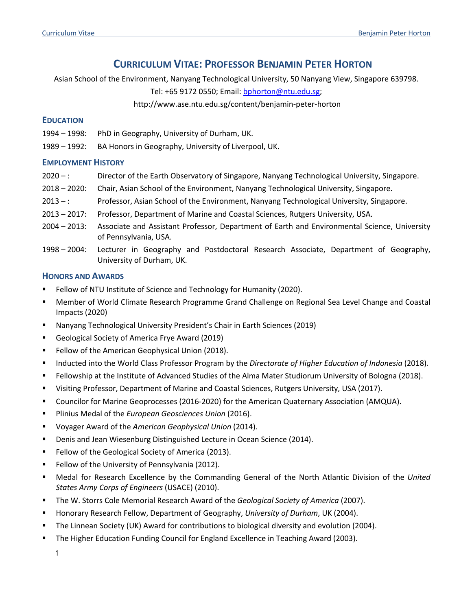# **CURRICULUM VITAE: PROFESSOR BENJAMIN PETER HORTON**

Asian School of the Environment, Nanyang Technological University, 50 Nanyang View, Singapore 639798.

Tel: +65 9172 0550; Email: bphorton@ntu.edu.sg;

http://www.ase.ntu.edu.sg/content/benjamin-peter-horton

# **EDUCATION**

- 1994 1998: PhD in Geography, University of Durham, UK.
- 1989 1992: BA Honors in Geography, University of Liverpool, UK.

# **EMPLOYMENT HISTORY**

- 2020 –: Director of the Earth Observatory of Singapore, Nanyang Technological University, Singapore.
- 2018 2020: Chair, Asian School of the Environment, Nanyang Technological University, Singapore.
- 2013 –: Professor, Asian School of the Environment, Nanyang Technological University, Singapore.
- 2013 2017: Professor, Department of Marine and Coastal Sciences, Rutgers University, USA.
- 2004 2013: Associate and Assistant Professor, Department of Earth and Environmental Science, University of Pennsylvania, USA.
- 1998 2004: Lecturer in Geography and Postdoctoral Research Associate, Department of Geography, University of Durham, UK.

# **HONORS AND AWARDS**

- Fellow of NTU Institute of Science and Technology for Humanity (2020).
- § Member of World Climate Research Programme Grand Challenge on Regional Sea Level Change and Coastal Impacts (2020)
- § Nanyang Technological University President's Chair in Earth Sciences (2019)
- Geological Society of America Frye Award (2019)
- Fellow of the American Geophysical Union (2018).
- § Inducted into the World Class Professor Program by the *Directorate of Higher Education of Indonesia* (2018)*.*
- Fellowship at the Institute of Advanced Studies of the Alma Mater Studiorum University of Bologna (2018).
- Visiting Professor, Department of Marine and Coastal Sciences, Rutgers University, USA (2017).
- Councilor for Marine Geoprocesses (2016-2020) for the American Quaternary Association (AMQUA).
- § Plinius Medal of the *European Geosciences Union* (2016).
- § Voyager Award of the *American Geophysical Union* (2014).
- Denis and Jean Wiesenburg Distinguished Lecture in Ocean Science (2014).
- Fellow of the Geological Society of America (2013).
- Fellow of the University of Pennsylvania (2012).
- § Medal for Research Excellence by the Commanding General of the North Atlantic Division of the *United States Army Corps of Engineers* (USACE) (2010).
- The W. Storrs Cole Memorial Research Award of the *Geological Society of America* (2007).
- § Honorary Research Fellow, Department of Geography, *University of Durham*, UK (2004).
- The Linnean Society (UK) Award for contributions to biological diversity and evolution (2004).
- § The Higher Education Funding Council for England Excellence in Teaching Award (2003).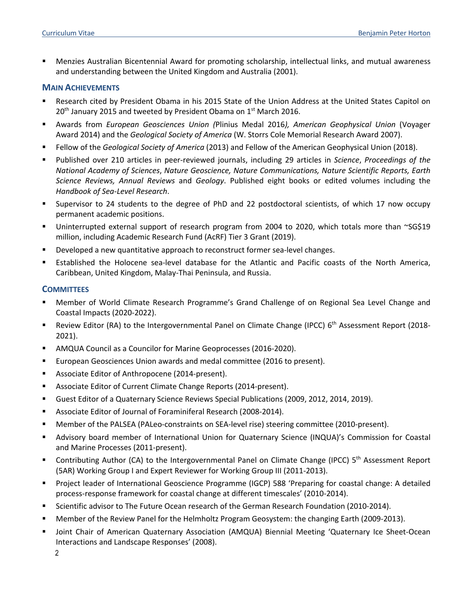§ Menzies Australian Bicentennial Award for promoting scholarship, intellectual links, and mutual awareness and understanding between the United Kingdom and Australia (2001).

#### **MAIN ACHIEVEMENTS**

- Research cited by President Obama in his 2015 State of the Union Address at the United States Capitol on  $20<sup>th</sup>$  January 2015 and tweeted by President Obama on  $1<sup>st</sup>$  March 2016.
- § Awards from *European Geosciences Union (*Plinius Medal 2016*), American Geophysical Union* (Voyager Award 2014) and the *Geological Society of America* (W. Storrs Cole Memorial Research Award 2007).
- § Fellow of the *Geological Society of America* (2013) and Fellow of the American Geophysical Union (2018).
- § Published over 210 articles in peer-reviewed journals, including 29 articles in *Science*, *Proceedings of the National Academy of Sciences*, *Nature Geoscience, Nature Communications, Nature Scientific Reports, Earth Science Reviews, Annual Reviews* and *Geology*. Published eight books or edited volumes including the *Handbook of Sea-Level Research*.
- § Supervisor to 24 students to the degree of PhD and 22 postdoctoral scientists, of which 17 now occupy permanent academic positions.
- Uninterrupted external support of research program from 2004 to 2020, which totals more than ~SG\$19 million, including Academic Research Fund (AcRF) Tier 3 Grant (2019).
- Developed a new quantitative approach to reconstruct former sea-level changes.
- Established the Holocene sea-level database for the Atlantic and Pacific coasts of the North America, Caribbean, United Kingdom, Malay-Thai Peninsula, and Russia.

#### **COMMITTEES**

- § Member of World Climate Research Programme's Grand Challenge of on Regional Sea Level Change and Coastal Impacts (2020-2022).
- Review Editor (RA) to the Intergovernmental Panel on Climate Change (IPCC) 6<sup>th</sup> Assessment Report (2018-2021).
- § AMQUA Council as a Councilor for Marine Geoprocesses (2016-2020).
- § European Geosciences Union awards and medal committee (2016 to present).
- Associate Editor of Anthropocene (2014-present).
- Associate Editor of Current Climate Change Reports (2014-present).
- § Guest Editor of a Quaternary Science Reviews Special Publications (2009, 2012, 2014, 2019).
- § Associate Editor of Journal of Foraminiferal Research (2008-2014).
- § Member of the PALSEA (PALeo-constraints on SEA-level rise) steering committee (2010-present).
- § Advisory board member of International Union for Quaternary Science (INQUA)'s Commission for Coastal and Marine Processes (2011-present).
- Gontributing Author (CA) to the Intergovernmental Panel on Climate Change (IPCC)  $5<sup>th</sup>$  Assessment Report (5AR) Working Group I and Expert Reviewer for Working Group III (2011-2013).
- § Project leader of International Geoscience Programme (IGCP) 588 'Preparing for coastal change: A detailed process-response framework for coastal change at different timescales' (2010-2014).
- § Scientific advisor to The Future Ocean research of the German Research Foundation (2010-2014).
- § Member of the Review Panel for the Helmholtz Program Geosystem: the changing Earth (2009-2013).
- Joint Chair of American Quaternary Association (AMQUA) Biennial Meeting 'Quaternary Ice Sheet-Ocean Interactions and Landscape Responses' (2008).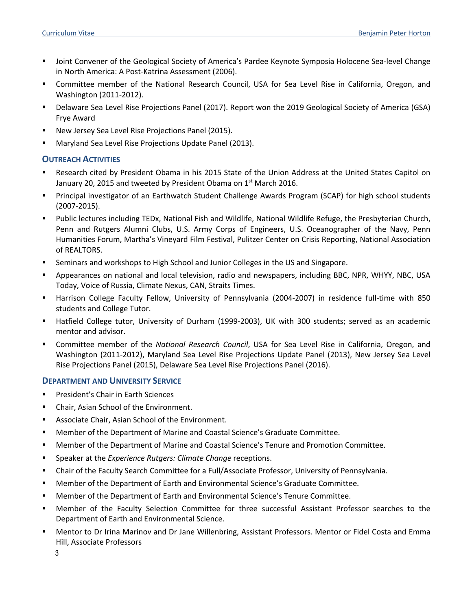- Joint Convener of the Geological Society of America's Pardee Keynote Symposia Holocene Sea-level Change in North America: A Post-Katrina Assessment (2006).
- § Committee member of the National Research Council, USA for Sea Level Rise in California, Oregon, and Washington (2011-2012).
- § Delaware Sea Level Rise Projections Panel (2017). Report won the 2019 Geological Society of America (GSA) Frye Award
- § New Jersey Sea Level Rise Projections Panel (2015).
- § Maryland Sea Level Rise Projections Update Panel (2013).

# **OUTREACH ACTIVITIES**

- Research cited by President Obama in his 2015 State of the Union Address at the United States Capitol on January 20, 2015 and tweeted by President Obama on  $1<sup>st</sup>$  March 2016.
- § Principal investigator of an Earthwatch Student Challenge Awards Program (SCAP) for high school students (2007-2015).
- § Public lectures including TEDx, National Fish and Wildlife, National Wildlife Refuge, the Presbyterian Church, Penn and Rutgers Alumni Clubs, U.S. Army Corps of Engineers, U.S. Oceanographer of the Navy, Penn Humanities Forum, Martha's Vineyard Film Festival, Pulitzer Center on Crisis Reporting, National Association of REALTORS.
- **•** Seminars and workshops to High School and Junior Colleges in the US and Singapore.
- § Appearances on national and local television, radio and newspapers, including BBC, NPR, WHYY, NBC, USA Today, Voice of Russia, Climate Nexus, CAN, Straits Times.
- § Harrison College Faculty Fellow, University of Pennsylvania (2004-2007) in residence full-time with 850 students and College Tutor.
- § Hatfield College tutor, University of Durham (1999-2003), UK with 300 students; served as an academic mentor and advisor.
- § Committee member of the *National Research Council*, USA for Sea Level Rise in California, Oregon, and Washington (2011-2012), Maryland Sea Level Rise Projections Update Panel (2013), New Jersey Sea Level Rise Projections Panel (2015), Delaware Sea Level Rise Projections Panel (2016).

### **DEPARTMENT AND UNIVERSITY SERVICE**

- President's Chair in Earth Sciences
- § Chair, Asian School of the Environment.
- Associate Chair, Asian School of the Environment.
- § Member of the Department of Marine and Coastal Science's Graduate Committee.
- Member of the Department of Marine and Coastal Science's Tenure and Promotion Committee.
- Speaker at the *Experience Rutgers: Climate Change* receptions.
- Chair of the Faculty Search Committee for a Full/Associate Professor, University of Pennsylvania.
- Member of the Department of Earth and Environmental Science's Graduate Committee.
- Member of the Department of Earth and Environmental Science's Tenure Committee.
- § Member of the Faculty Selection Committee for three successful Assistant Professor searches to the Department of Earth and Environmental Science.
- § Mentor to Dr Irina Marinov and Dr Jane Willenbring, Assistant Professors. Mentor or Fidel Costa and Emma Hill, Associate Professors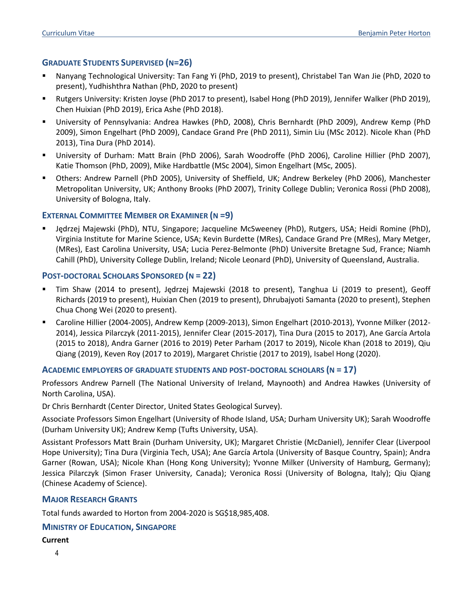# **GRADUATE STUDENTS SUPERVISED (N=26)**

- § Nanyang Technological University: Tan Fang Yi (PhD, 2019 to present), Christabel Tan Wan Jie (PhD, 2020 to present), Yudhishthra Nathan (PhD, 2020 to present)
- § Rutgers University: Kristen Joyse (PhD 2017 to present), Isabel Hong (PhD 2019), Jennifer Walker (PhD 2019), Chen Huixian (PhD 2019), Erica Ashe (PhD 2018).
- § University of Pennsylvania: Andrea Hawkes (PhD, 2008), Chris Bernhardt (PhD 2009), Andrew Kemp (PhD 2009), Simon Engelhart (PhD 2009), Candace Grand Pre (PhD 2011), Simin Liu (MSc 2012). Nicole Khan (PhD 2013), Tina Dura (PhD 2014).
- § University of Durham: Matt Brain (PhD 2006), Sarah Woodroffe (PhD 2006), Caroline Hillier (PhD 2007), Katie Thomson (PhD, 2009), Mike Hardbattle (MSc 2004), Simon Engelhart (MSc, 2005).
- § Others: Andrew Parnell (PhD 2005), University of Sheffield, UK; Andrew Berkeley (PhD 2006), Manchester Metropolitan University, UK; Anthony Brooks (PhD 2007), Trinity College Dublin; Veronica Rossi (PhD 2008), University of Bologna, Italy.

# **EXTERNAL COMMITTEE MEMBER OR EXAMINER (N =9)**

Jędrzej Majewski (PhD), NTU, Singapore; Jacqueline McSweeney (PhD), Rutgers, USA; Heidi Romine (PhD), Virginia Institute for Marine Science, USA; Kevin Burdette (MRes), Candace Grand Pre (MRes), Mary Metger, (MRes), East Carolina University, USA; Lucia Perez-Belmonte (PhD) Universite Bretagne Sud, France; Niamh Cahill (PhD), University College Dublin, Ireland; Nicole Leonard (PhD), University of Queensland, Australia.

### **POST-DOCTORAL SCHOLARS SPONSORED (N = 22)**

- § Tim Shaw (2014 to present), Jędrzej Majewski (2018 to present), Tanghua Li (2019 to present), Geoff Richards (2019 to present), Huixian Chen (2019 to present), Dhrubajyoti Samanta (2020 to present), Stephen Chua Chong Wei (2020 to present).
- § Caroline Hillier (2004-2005), Andrew Kemp (2009-2013), Simon Engelhart (2010-2013), Yvonne Milker (2012- 2014), Jessica Pilarczyk (2011-2015), Jennifer Clear (2015-2017), Tina Dura (2015 to 2017), Ane García Artola (2015 to 2018), Andra Garner (2016 to 2019) Peter Parham (2017 to 2019), Nicole Khan (2018 to 2019), Qiu Qiang (2019), Keven Roy (2017 to 2019), Margaret Christie (2017 to 2019), Isabel Hong (2020).

### **ACADEMIC EMPLOYERS OF GRADUATE STUDENTS AND POST-DOCTORAL SCHOLARS (N = 17)**

Professors Andrew Parnell (The National University of Ireland, Maynooth) and Andrea Hawkes (University of North Carolina, USA).

Dr Chris Bernhardt (Center Director, United States Geological Survey).

Associate Professors Simon Engelhart (University of Rhode Island, USA; Durham University UK); Sarah Woodroffe (Durham University UK); Andrew Kemp (Tufts University, USA).

Assistant Professors Matt Brain (Durham University, UK); Margaret Christie (McDaniel), Jennifer Clear (Liverpool Hope University); Tina Dura (Virginia Tech, USA); Ane García Artola (University of Basque Country, Spain); Andra Garner (Rowan, USA); Nicole Khan (Hong Kong University); Yvonne Milker (University of Hamburg, Germany); Jessica Pilarczyk (Simon Fraser University, Canada); Veronica Rossi (University of Bologna, Italy); Qiu Qiang (Chinese Academy of Science).

### **MAJOR RESEARCH GRANTS**

Total funds awarded to Horton from 2004-2020 is SG\$18,985,408.

# **MINISTRY OF EDUCATION, SINGAPORE**

### **Current**

4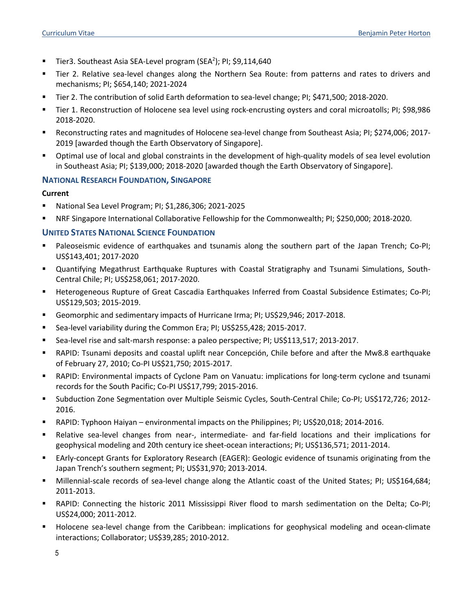- **Tier3. Southeast Asia SEA-Level program (SEA<sup>2</sup>); PI; \$9,114,640**
- Tier 2. Relative sea-level changes along the Northern Sea Route: from patterns and rates to drivers and mechanisms; PI; \$654,140; 2021-2024
- § Tier 2. The contribution of solid Earth deformation to sea-level change; PI; \$471,500; 2018-2020.
- § Tier 1. Reconstruction of Holocene sea level using rock-encrusting oysters and coral microatolls; PI; \$98,986 2018-2020.
- § Reconstructing rates and magnitudes of Holocene sea-level change from Southeast Asia; PI; \$274,006; 2017- 2019 [awarded though the Earth Observatory of Singapore].
- § Optimal use of local and global constraints in the development of high-quality models of sea level evolution in Southeast Asia; PI; \$139,000; 2018-2020 [awarded though the Earth Observatory of Singapore].

#### **NATIONAL RESEARCH FOUNDATION, SINGAPORE**

#### **Current**

- § National Sea Level Program; PI; \$1,286,306; 2021-2025
- § NRF Singapore International Collaborative Fellowship for the Commonwealth; PI; \$250,000; 2018-2020.

### **UNITED STATES NATIONAL SCIENCE FOUNDATION**

- **•** Paleoseismic evidence of earthquakes and tsunamis along the southern part of the Japan Trench; Co-PI; US\$143,401; 2017-2020
- § Quantifying Megathrust Earthquake Ruptures with Coastal Stratigraphy and Tsunami Simulations, South-Central Chile; PI; US\$258,061; 2017-2020.
- Heterogeneous Rupture of Great Cascadia Earthquakes Inferred from Coastal Subsidence Estimates; Co-PI; US\$129,503; 2015-2019.
- § Geomorphic and sedimentary impacts of Hurricane Irma; PI; US\$29,946; 2017-2018.
- Sea-level variability during the Common Era; PI; US\$255,428; 2015-2017.
- § Sea-level rise and salt-marsh response: a paleo perspective; PI; US\$113,517; 2013-2017.
- § RAPID: Tsunami deposits and coastal uplift near Concepción, Chile before and after the Mw8.8 earthquake of February 27, 2010; Co-PI US\$21,750; 2015-2017.
- RAPID: Environmental impacts of Cyclone Pam on Vanuatu: implications for long-term cyclone and tsunami records for the South Pacific; Co-PI US\$17,799; 2015-2016.
- § Subduction Zone Segmentation over Multiple Seismic Cycles, South-Central Chile; Co-PI; US\$172,726; 2012- 2016.
- RAPID: Typhoon Haiyan environmental impacts on the Philippines; PI; US\$20,018; 2014-2016.
- § Relative sea-level changes from near-, intermediate- and far-field locations and their implications for geophysical modeling and 20th century ice sheet-ocean interactions; PI; US\$136,571; 2011-2014.
- EArly-concept Grants for Exploratory Research (EAGER): Geologic evidence of tsunamis originating from the Japan Trench's southern segment; PI; US\$31,970; 2013-2014.
- § Millennial-scale records of sea-level change along the Atlantic coast of the United States; PI; US\$164,684; 2011-2013.
- § RAPID: Connecting the historic 2011 Mississippi River flood to marsh sedimentation on the Delta; Co-PI; US\$24,000; 2011-2012.
- § Holocene sea-level change from the Caribbean: implications for geophysical modeling and ocean-climate interactions; Collaborator; US\$39,285; 2010-2012.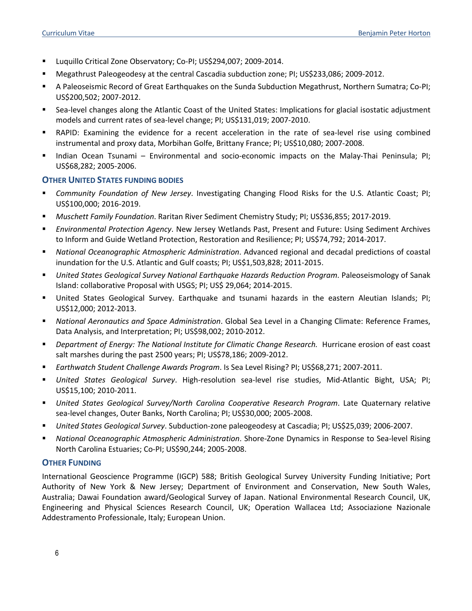- § Luquillo Critical Zone Observatory; Co-PI; US\$294,007; 2009-2014.
- § Megathrust Paleogeodesy at the central Cascadia subduction zone; PI; US\$233,086; 2009-2012.
- A Paleoseismic Record of Great Earthquakes on the Sunda Subduction Megathrust, Northern Sumatra; Co-PI; US\$200,502; 2007-2012.
- Sea-level changes along the Atlantic Coast of the United States: Implications for glacial isostatic adjustment models and current rates of sea-level change; PI; US\$131,019; 2007-2010.
- RAPID: Examining the evidence for a recent acceleration in the rate of sea-level rise using combined instrumental and proxy data, Morbihan Golfe, Brittany France; PI; US\$10,080; 2007-2008.
- § Indian Ocean Tsunami Environmental and socio-economic impacts on the Malay-Thai Peninsula; PI; US\$68,282; 2005-2006.

### **OTHER UNITED STATES FUNDING BODIES**

- § *Community Foundation of New Jersey*. Investigating Changing Flood Risks for the U.S. Atlantic Coast; PI; US\$100,000; 2016-2019.
- § *Muschett Family Foundation*. Raritan River Sediment Chemistry Study; PI; US\$36,855; 2017-2019.
- § *Environmental Protection Agency*. New Jersey Wetlands Past, Present and Future: Using Sediment Archives to Inform and Guide Wetland Protection, Restoration and Resilience; PI; US\$74,792; 2014-2017.
- § *National Oceanographic Atmospheric Administration*. Advanced regional and decadal predictions of coastal inundation for the U.S. Atlantic and Gulf coasts; PI; US\$1,503,828; 2011-2015.
- § *United States Geological Survey National Earthquake Hazards Reduction Program*. Paleoseismology of Sanak Island: collaborative Proposal with USGS; PI; US\$ 29,064; 2014-2015.
- § United States Geological Survey. Earthquake and tsunami hazards in the eastern Aleutian Islands; PI; US\$12,000; 2012-2013.
- § *National Aeronautics and Space Administration*. Global Sea Level in a Changing Climate: Reference Frames, Data Analysis, and Interpretation; PI; US\$98,002; 2010-2012.
- § *Department of Energy: The National Institute for Climatic Change Research.* Hurricane erosion of east coast salt marshes during the past 2500 years; PI; US\$78,186; 2009-2012.
- § *Earthwatch Student Challenge Awards Program*. Is Sea Level Rising? PI; US\$68,271; 2007-2011.
- § *United States Geological Survey*. High-resolution sea-level rise studies, Mid-Atlantic Bight, USA; PI; US\$15,100; 2010-2011.
- § *United States Geological Survey/North Carolina Cooperative Research Program*. Late Quaternary relative sea-level changes, Outer Banks, North Carolina; PI; US\$30,000; 2005-2008.
- § *United States Geological Survey*. Subduction-zone paleogeodesy at Cascadia; PI; US\$25,039; 2006-2007.
- § *National Oceanographic Atmospheric Administration*. Shore-Zone Dynamics in Response to Sea-level Rising North Carolina Estuaries; Co-PI; US\$90,244; 2005-2008.

### **OTHER FUNDING**

International Geoscience Programme (IGCP) 588; British Geological Survey University Funding Initiative; Port Authority of New York & New Jersey; Department of Environment and Conservation, New South Wales, Australia; Dawai Foundation award/Geological Survey of Japan. National Environmental Research Council, UK, Engineering and Physical Sciences Research Council, UK; Operation Wallacea Ltd; Associazione Nazionale Addestramento Professionale, Italy; European Union.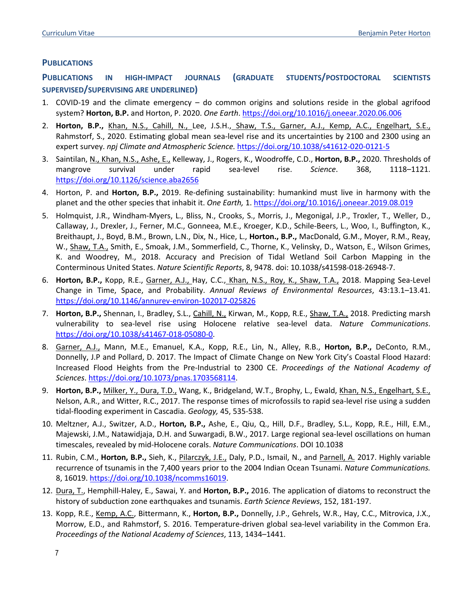### **PUBLICATIONS**

**PUBLICATIONS IN HIGH-IMPACT JOURNALS (GRADUATE STUDENTS/POSTDOCTORAL SCIENTISTS SUPERVISED/SUPERVISING ARE UNDERLINED)**

- 1. COVID-19 and the climate emergency do common origins and solutions reside in the global agrifood system? **Horton, B.P.** and Horton, P. 2020. *One Earth*. https://doi.org/10.1016/j.oneear.2020.06.006
- 2. **Horton, B.P.,** Khan, N.S., Cahill, N., Lee, J.S.H., Shaw, T.S., Garner, A.J., Kemp, A.C., Engelhart, S.E., Rahmstorf, S., 2020. Estimating global mean sea-level rise and its uncertainties by 2100 and 2300 using an expert survey. *npj Climate and Atmospheric Science.* https://doi.org/10.1038/s41612-020-0121-5
- 3. Saintilan, N., Khan, N.S., Ashe, E., Kelleway, J., Rogers, K., Woodroffe, C.D., **Horton, B.P.,** 2020. Thresholds of mangrove survival under rapid sea-level rise. *Science*. 368, 1118–1121. https://doi.org/10.1126/science.aba2656
- 4. Horton, P. and **Horton, B.P.,** 2019. Re-defining sustainability: humankind must live in harmony with the planet and the other species that inhabit it. *One Earth,* 1. https://doi.org/10.1016/j.oneear.2019.08.019
- 5. Holmquist, J.R., Windham-Myers, L., Bliss, N., Crooks, S., Morris, J., Megonigal, J.P., Troxler, T., Weller, D., Callaway, J., Drexler, J., Ferner, M.C., Gonneea, M.E., Kroeger, K.D., Schile-Beers, L., Woo, I., Buffington, K., Breithaupt, J., Boyd, B.M., Brown, L.N., Dix, N., Hice, L., **Horton., B.P.,** MacDonald, G.M., Moyer, R.M., Reay, W., Shaw, T.A., Smith, E., Smoak, J.M., Sommerfield, C., Thorne, K., Velinsky, D., Watson, E., Wilson Grimes, K. and Woodrey, M., 2018. Accuracy and Precision of Tidal Wetland Soil Carbon Mapping in the Conterminous United States. *Nature Scientific Reports*, 8, 9478. doi: 10.1038/s41598-018-26948-7.
- 6. **Horton, B.P.,** Kopp, R.E., Garner, A.J., Hay, C.C., Khan, N.S., Roy, K., Shaw, T.A., 2018. Mapping Sea-Level Change in Time, Space, and Probability. *Annual Reviews of Environmental Resources*, 43:13.1–13.41. https://doi.org/10.1146/annurev-environ-102017-025826
- 7. **Horton, B.P.,** Shennan, I., Bradley, S.L., Cahill, N., Kirwan, M., Kopp, R.E., Shaw, T.A., 2018. Predicting marsh vulnerability to sea-level rise using Holocene relative sea-level data. *Nature Communications*. https://doi.org/10.1038/s41467-018-05080-0.
- 8. Garner, A.J., Mann, M.E., Emanuel, K.A., Kopp, R.E., Lin, N., Alley, R.B., **Horton, B.P.,** DeConto, R.M., Donnelly, J.P and Pollard, D. 2017. The Impact of Climate Change on New York City's Coastal Flood Hazard: Increased Flood Heights from the Pre-Industrial to 2300 CE. *Proceedings of the National Academy of Sciences*. https://doi.org/10.1073/pnas.1703568114.
- 9. **Horton, B.P.,** Milker, Y., Dura, T.D., Wang, K., Bridgeland, W.T., Brophy, L., Ewald, Khan, N.S., Engelhart, S.E., Nelson, A.R., and Witter, R.C., 2017. The response times of microfossils to rapid sea-level rise using a sudden tidal-flooding experiment in Cascadia. *Geology,* 45, 535-538.
- 10. Meltzner, A.J., Switzer, A.D., **Horton, B.P.,** Ashe, E., Qiu, Q., Hill, D.F., Bradley, S.L., Kopp, R.E., Hill, E.M., Majewski, J.M., Natawidjaja, D.H. and Suwargadi, B.W., 2017. Large regional sea-level oscillations on human timescales, revealed by mid-Holocene corals. *Nature Communications*. DOI 10.1038
- 11. Rubin, C.M., **Horton, B.P.,** Sieh, K., Pilarczyk, J.E., Daly, P.D., Ismail, N., and Parnell, A. 2017. Highly variable recurrence of tsunamis in the 7,400 years prior to the 2004 Indian Ocean Tsunami. *Nature Communications.* 8, 16019. https://doi.org/10.1038/ncomms16019.
- 12. Dura, T., Hemphill-Haley, E., Sawai, Y. and **Horton, B.P.,** 2016. The application of diatoms to reconstruct the history of subduction zone earthquakes and tsunamis. *Earth Science Reviews*, 152, 181-197.
- 13. Kopp, R.E., Kemp, A.C., Bittermann, K., **Horton, B.P.,** Donnelly, J.P., Gehrels, W.R., Hay, C.C., Mitrovica, J.X., Morrow, E.D., and Rahmstorf, S. 2016. Temperature-driven global sea-level variability in the Common Era. *Proceedings of the National Academy of Sciences*, 113, 1434–1441.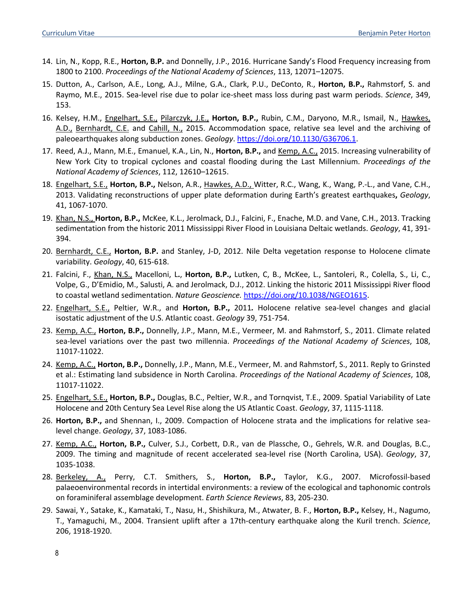- 14. Lin, N., Kopp, R.E., **Horton, B.P.** and Donnelly, J.P., 2016. Hurricane Sandy's Flood Frequency increasing from 1800 to 2100. *Proceedings of the National Academy of Sciences*, 113, 12071–12075.
- 15. Dutton, A., Carlson, A.E., Long, A.J., Milne, G.A., Clark, P.U., DeConto, R., **Horton, B.P.,** Rahmstorf, S. and Raymo, M.E., 2015. Sea-level rise due to polar ice-sheet mass loss during past warm periods. *Science*, 349, 153.
- 16. Kelsey, H.M., Engelhart, S.E., Pilarczyk, J.E., **Horton, B.P.,** Rubin, C.M., Daryono, M.R., Ismail, N., Hawkes, A.D., Bernhardt, C.E. and Cahill, N., 2015. Accommodation space, relative sea level and the archiving of paleoearthquakes along subduction zones. *Geology*. https://doi.org/10.1130/G36706.1.
- 17. Reed, A.J., Mann, M.E., Emanuel, K.A., Lin, N., **Horton, B.P.,** and Kemp, A.C., 2015. Increasing vulnerability of New York City to tropical cyclones and coastal flooding during the Last Millennium. *Proceedings of the National Academy of Sciences*, 112, 12610–12615.
- 18. Engelhart, S.E., **Horton, B.P.,** Nelson, A.R., Hawkes, A.D., Witter, R.C., Wang, K., Wang, P.-L., and Vane, C.H., 2013. Validating reconstructions of upper plate deformation during Earth's greatest earthquakes**,** *Geology*, 41, 1067-1070.
- 19. Khan, N.S., **Horton, B.P.,** McKee, K.L., Jerolmack, D.J., Falcini, F., Enache, M.D. and Vane, C.H., 2013. Tracking sedimentation from the historic 2011 Mississippi River Flood in Louisiana Deltaic wetlands. *Geology*, 41, 391- 394.
- 20. Bernhardt, C.E., **Horton, B.P.** and Stanley, J-D, 2012. Nile Delta vegetation response to Holocene climate variability. *Geology*, 40, 615-618.
- 21. Falcini, F., Khan, N.S., Macelloni, L**.**, **Horton, B.P.,** Lutken, C, B., McKee, L., Santoleri, R., Colella, S., Li, C., Volpe, G., D'Emidio, M., Salusti, A. and Jerolmack, D.J., 2012. Linking the historic 2011 Mississippi River flood to coastal wetland sedimentation. *Nature Geoscience.* https://doi.org/10.1038/NGEO1615.
- 22. Engelhart, S.E., Peltier, W.R., and **Horton, B.P.,** 2011*.* Holocene relative sea-level changes and glacial isostatic adjustment of the U.S. Atlantic coast. *Geology* 39, 751-754.
- 23. Kemp, A.C., **Horton, B.P.,** Donnelly, J.P., Mann, M.E., Vermeer, M. and Rahmstorf, S., 2011. Climate related sea-level variations over the past two millennia. *Proceedings of the National Academy of Sciences*, 108, 11017-11022.
- 24. Kemp, A.C., **Horton, B.P.,** Donnelly, J.P., Mann, M.E., Vermeer, M. and Rahmstorf, S., 2011. Reply to Grinsted et al.: Estimating land subsidence in North Carolina. *Proceedings of the National Academy of Sciences*, 108, 11017-11022.
- 25. Engelhart, S.E., **Horton, B.P.,** Douglas, B.C., Peltier, W.R., and Tornqvist, T.E., 2009. Spatial Variability of Late Holocene and 20th Century Sea Level Rise along the US Atlantic Coast. *Geology*, 37, 1115-1118.
- 26. **Horton, B.P.,** and Shennan, I., 2009. Compaction of Holocene strata and the implications for relative sealevel change. *Geology*, 37, 1083-1086.
- 27. Kemp, A.C., **Horton, B.P.,** Culver, S.J., Corbett, D.R., van de Plassche, O., Gehrels, W.R. and Douglas, B.C., 2009. The timing and magnitude of recent accelerated sea-level rise (North Carolina, USA). *Geology*, 37, 1035-1038.
- 28. Berkeley, A., Perry, C.T. Smithers, S., **Horton, B.P.,** Taylor, K.G., 2007. Microfossil-based palaeoenvironmental records in intertidal environments: a review of the ecological and taphonomic controls on foraminiferal assemblage development. *Earth Science Reviews*, 83, 205-230.
- 29. Sawai, Y., Satake, K., Kamataki, T., Nasu, H., Shishikura, M., Atwater, B. F., **Horton, B.P.,** Kelsey, H., Nagumo, T., Yamaguchi, M., 2004. Transient uplift after a 17th-century earthquake along the Kuril trench. *Science*, 206, 1918-1920.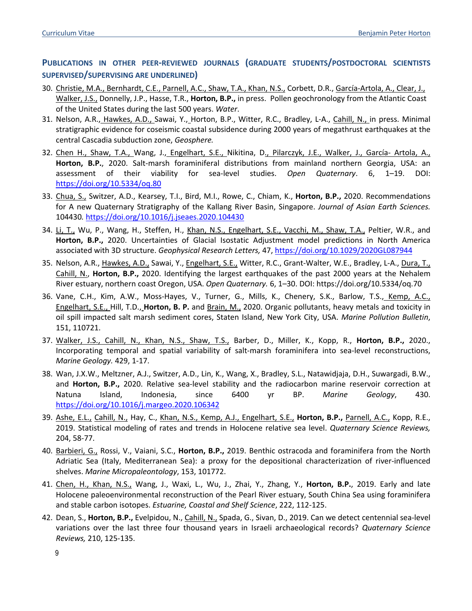# **PUBLICATIONS IN OTHER PEER-REVIEWED JOURNALS (GRADUATE STUDENTS/POSTDOCTORAL SCIENTISTS SUPERVISED/SUPERVISING ARE UNDERLINED)**

- 30. Christie, M.A., Bernhardt, C.E., Parnell, A.C., Shaw, T.A., Khan, N.S., Corbett, D.R., García-Artola, A., Clear, J., Walker, J.S., Donnelly, J.P., Hasse, T.R., **Horton, B.P.,** in press. Pollen geochronology from the Atlantic Coast of the United States during the last 500 years. *Water*.
- 31. Nelson, A.R., Hawkes, A.D., Sawai, Y., Horton, B.P., Witter, R.C., Bradley, L-A., Cahill, N., in press. Minimal stratigraphic evidence for coseismic coastal subsidence during 2000 years of megathrust earthquakes at the central Cascadia subduction zone, *Geosphere.*
- 32. Chen H., Shaw, T.A., Wang, J., Engelhart, S.E., Nikitina, D., Pilarczyk, J.E., Walker, J., García- Artola, A., **Horton, B.P.**, 2020. Salt-marsh foraminiferal distributions from mainland northern Georgia, USA: an assessment of their viability for sea-level studies. *Open Quaternary*. 6, 1–19. DOI: https://doi.org/10.5334/oq.80
- 33. Chua, S., Switzer, A.D., Kearsey, T.I., Bird, M.I., Rowe, C., Chiam, K., **Horton, B.P.,** 2020. Recommendations for A new Quaternary Stratigraphy of the Kallang River Basin, Singapore. *Journal of Asian Earth Sciences.* 104430*.* https://doi.org/10.1016/j.jseaes.2020.104430
- 34. Li, T., Wu, P., Wang, H., Steffen, H., Khan, N.S., Engelhart, S.E., Vacchi, M., Shaw, T.A., Peltier, W.R., and **Horton, B.P.,** 2020. Uncertainties of Glacial Isostatic Adjustment model predictions in North America associated with 3D structure. *Geophysical Research Letters,* 47, https://doi.org/10.1029/2020GL087944
- 35. Nelson, A.R., Hawkes, A.D., Sawai, Y., Engelhart, S.E., Witter, R.C., Grant-Walter, W.E., Bradley, L-A., Dura, T., Cahill, N., **Horton, B.P.,** 2020. Identifying the largest earthquakes of the past 2000 years at the Nehalem River estuary, northern coast Oregon, USA. *Open Quaternary.* 6, 1–30. DOI: https://doi.org/10.5334/oq.70
- 36. Vane, C.H., Kim, A.W., Moss-Hayes, V., Turner, G., Mills, K., Chenery, S.K., Barlow, T.S., Kemp, A.C., Engelhart, S.E., Hill, T.D., **Horton, B. P.** and Brain, M., 2020. Organic pollutants, heavy metals and toxicity in oil spill impacted salt marsh sediment cores, Staten Island, New York City, USA. *Marine Pollution Bulletin*, 151, 110721.
- 37. Walker, J.S., Cahill, N., Khan, N.S., Shaw, T.S., Barber, D., Miller, K., Kopp, R., **Horton, B.P.,** 2020., Incorporating temporal and spatial variability of salt-marsh foraminifera into sea-level reconstructions, *Marine Geology.* 429, 1-17.
- 38. Wan, J.X.W., Meltzner, A.J., Switzer, A.D., Lin, K., Wang, X., Bradley, S.L., Natawidjaja, D.H., Suwargadi, B.W., and **Horton, B.P.,** 2020. Relative sea-level stability and the radiocarbon marine reservoir correction at Natuna Island, Indonesia, since 6400 yr BP. *Marine Geology*, 430. https://doi.org/10.1016/j.margeo.2020.106342
- 39. Ashe, E.L., Cahill, N., Hay, C., Khan, N.S., Kemp, A.J., Engelhart, S.E., **Horton, B.P.,** Parnell, A.C., Kopp, R.E., 2019. Statistical modeling of rates and trends in Holocene relative sea level. *Quaternary Science Reviews,* 204, 58-77.
- 40. Barbieri, G., Rossi, V., Vaiani, S.C., **Horton, B.P.,** 2019. Benthic ostracoda and foraminifera from the North Adriatic Sea (Italy, Mediterranean Sea): a proxy for the depositional characterization of river-influenced shelves. *Marine Micropaleontology*, 153, 101772.
- 41. Chen, H., Khan, N.S., Wang, J., Waxi, L., Wu, J., Zhai, Y., Zhang, Y., **Horton, B.P.**, 2019. Early and late Holocene paleoenvironmental reconstruction of the Pearl River estuary, South China Sea using foraminifera and stable carbon isotopes. *Estuarine, Coastal and Shelf Science*, 222, 112-125.
- 42. Dean, S., **Horton, B.P.,** Evelpidou, N., Cahill, N., Spada, G., Sivan, D., 2019. Can we detect centennial sea-level variations over the last three four thousand years in Israeli archaeological records? *Quaternary Science Reviews,* 210, 125-135.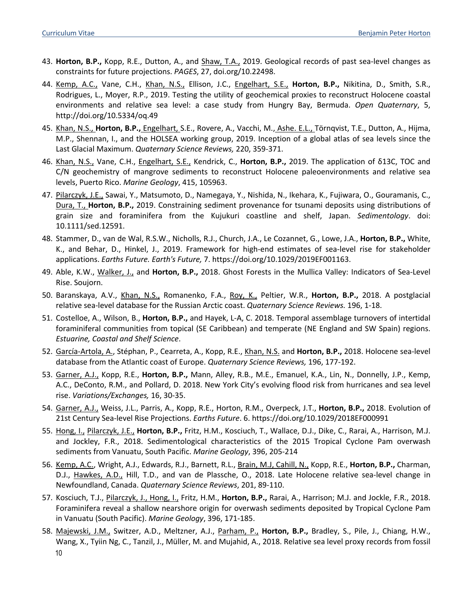- 43. **Horton, B.P.,** Kopp, R.E., Dutton, A., and Shaw, T.A., 2019. Geological records of past sea-level changes as constraints for future projections. *PAGES*, 27, doi.org/10.22498.
- 44. Kemp, A.C., Vane, C.H., Khan, N.S., Ellison, J.C., Engelhart, S.E., **Horton, B.P.,** Nikitina, D., Smith, S.R., Rodrigues, L., Moyer, R.P., 2019. Testing the utility of geochemical proxies to reconstruct Holocene coastal environments and relative sea level: a case study from Hungry Bay, Bermuda. *Open Quaternary*, 5, http://doi.org/10.5334/oq.49
- 45. Khan, N.S., **Horton, B.P.,** Engelhart, S.E., Rovere, A., Vacchi, M., Ashe. E.L., Törnqvist, T.E., Dutton, A., Hijma, M.P., Shennan, I., and the HOLSEA working group, 2019. Inception of a global atlas of sea levels since the Last Glacial Maximum. *Quaternary Science Reviews,* 220, 359-371.
- 46. Khan, N.S., Vane, C.H., Engelhart, S.E., Kendrick, C., **Horton, B.P.,** 2019. The application of δ13C, TOC and C/N geochemistry of mangrove sediments to reconstruct Holocene paleoenvironments and relative sea levels, Puerto Rico. *Marine Geology*, 415, 105963.
- 47. Pilarczyk, J.E., Sawai, Y., Matsumoto, D., Namegaya, Y., Nishida, N., Ikehara, K., Fujiwara, O., Gouramanis, C., Dura, T., **Horton, B.P.,** 2019. Constraining sediment provenance for tsunami deposits using distributions of grain size and foraminifera from the Kujukuri coastline and shelf, Japan. *Sedimentology*. doi: 10.1111/sed.12591.
- 48. Stammer, D., van de Wal, R.S.W., Nicholls, R.J., Church, J.A., Le Cozannet, G., Lowe, J.A., **Horton, B.P.,** White, K., and Behar, D., Hinkel, J., 2019. Framework for high-end estimates of sea-level rise for stakeholder applications. *Earths Future. Earth's Future,* 7. https://doi.org/10.1029/2019EF001163.
- 49. Able, K.W., Walker, J., and **Horton, B.P.,** 2018. Ghost Forests in the Mullica Valley: Indicators of Sea-Level Rise. Soujorn.
- 50. Baranskaya, A.V., Khan, N.S., Romanenko, F.A., Roy, K., Peltier, W.R., **Horton, B.P.,** 2018. A postglacial relative sea-level database for the Russian Arctic coast. *Quaternary Science Reviews.* 196, 1-18.
- 51. Costelloe, A., Wilson, B., **Horton, B.P.,** and Hayek, L-A, C. 2018. Temporal assemblage turnovers of intertidal foraminiferal communities from topical (SE Caribbean) and temperate (NE England and SW Spain) regions. *Estuarine, Coastal and Shelf Science*.
- 52. García-Artola, A., Stéphan, P., Cearreta, A., Kopp, R.E., Khan, N.S. and **Horton, B.P.,** 2018. Holocene sea-level database from the Atlantic coast of Europe. *Quaternary Science Reviews,* 196, 177-192.
- 53. Garner, A.J., Kopp, R.E., **Horton, B.P.,** Mann, Alley, R.B., M.E., Emanuel, K.A., Lin, N., Donnelly, J.P., Kemp, A.C., DeConto, R.M., and Pollard, D. 2018. New York City's evolving flood risk from hurricanes and sea level rise. *Variations/Exchanges,* 16, 30-35.
- 54. Garner, A.J., Weiss, J.L., Parris, A., Kopp, R.E., Horton, R.M., Overpeck, J.T., **Horton, B.P.,** 2018. Evolution of 21st Century Sea-level Rise Projections. *Earths Future*. 6. https://doi.org/10.1029/2018EF000991
- 55. Hong, I., Pilarczyk, J.E., **Horton, B.P.,** Fritz, H.M., Kosciuch, T., Wallace, D.J., Dike, C., Rarai, A., Harrison, M.J. and Jockley, F.R., 2018. Sedimentological characteristics of the 2015 Tropical Cyclone Pam overwash sediments from Vanuatu, South Pacific. *Marine Geology*, 396, 205-214
- 56. Kemp, A.C., Wright, A.J., Edwards, R.J., Barnett, R.L., Brain, M.J, Cahill, N., Kopp, R.E., **Horton, B.P.,** Charman, D.J., Hawkes, A.D., Hill, T.D., and van de Plassche, O., 2018. Late Holocene relative sea-level change in Newfoundland, Canada. *Quaternary Science Reviews*, 201, 89-110.
- 57. Kosciuch, T.J., Pilarczyk, J., Hong, I., Fritz, H.M., **Horton, B.P.,** Rarai, A., Harrison; M.J. and Jockle, F.R., 2018. Foraminifera reveal a shallow nearshore origin for overwash sediments deposited by Tropical Cyclone Pam in Vanuatu (South Pacific). *Marine Geology*, 396, 171-185.
- 10 58. Majewski, J.M., Switzer, A.D., Meltzner, A.J., Parham, P., **Horton, B.P.,** Bradley, S., Pile, J., Chiang, H.W., Wang, X., Tyiin Ng, C., Tanzil, J., Müller, M. and Mujahid, A., 2018. Relative sea level proxy records from fossil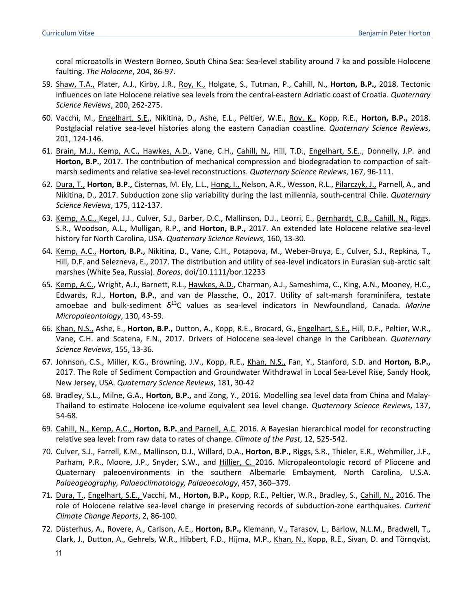coral microatolls in Western Borneo, South China Sea: Sea-level stability around 7 ka and possible Holocene faulting. *The Holocene*, 204, 86-97.

- 59. Shaw, T.A., Plater, A.J., Kirby, J.R., Roy, K., Holgate, S., Tutman, P., Cahill, N., **Horton, B.P.,** 2018. Tectonic influences on late Holocene relative sea levels from the central-eastern Adriatic coast of Croatia. *Quaternary Science Reviews*, 200, 262-275.
- 60. Vacchi, M., Engelhart, S.E., Nikitina, D., Ashe, E.L., Peltier, W.E., Roy, K., Kopp, R.E., **Horton, B.P.,** 2018. Postglacial relative sea-level histories along the eastern Canadian coastline. *Quaternary Science Reviews*, 201, 124-146.
- 61. Brain, M.J., Kemp, A.C., Hawkes, A.D., Vane, C.H., Cahill, N., Hill, T.D., Engelhart, S.E.., Donnelly, J.P. and **Horton, B.P.**, 2017. The contribution of mechanical compression and biodegradation to compaction of saltmarsh sediments and relative sea-level reconstructions. *Quaternary Science Reviews*, 167, 96-111.
- 62. Dura, T., Horton, B.P., Cisternas, M. Ely, L.L., Hong, I., Nelson, A.R., Wesson, R.L., Pilarczyk, J., Parnell, A., and Nikitina, D., 2017. Subduction zone slip variability during the last millennia, south-central Chile. *Quaternary Science Reviews*, 175, 112-137.
- 63. Kemp, A.C., Kegel, J.J., Culver, S.J., Barber, D.C., Mallinson, D.J., Leorri, E., Bernhardt, C.B., Cahill, N., Riggs, S.R., Woodson, A.L., Mulligan, R.P., and **Horton, B.P.,** 2017. An extended late Holocene relative sea-level history for North Carolina, USA. *Quaternary Science Reviews*, 160, 13-30.
- 64. Kemp, A.C., **Horton, B.P.,** Nikitina, D., Vane, C.H., Potapova, M., Weber-Bruya, E., Culver, S.J., Repkina, T., Hill, D.F. and Selezneva, E., 2017. The distribution and utility of sea-level indicators in Eurasian sub-arctic salt marshes (White Sea, Russia). *Boreas*, doi/10.1111/bor.12233
- 65. Kemp, A.C., Wright, A.J., Barnett, R.L., Hawkes, A.D., Charman, A.J., Sameshima, C., King, A.N., Mooney, H.C., Edwards, R.J., **Horton, B.P.**, and van de Plassche, O., 2017. Utility of salt-marsh foraminifera, testate amoebae and bulk-sediment δ13C values as sea-level indicators in Newfoundland, Canada. *Marine Micropaleontology*, 130, 43-59.
- 66. Khan, N.S., Ashe, E., **Horton, B.P.,** Dutton, A., Kopp, R.E., Brocard, G., Engelhart, S.E., Hill, D.F., Peltier, W.R., Vane, C.H. and Scatena, F.N., 2017. Drivers of Holocene sea-level change in the Caribbean. *Quaternary Science Reviews*, 155, 13-36.
- 67. Johnson, C.S., Miller, K.G., Browning, J.V., Kopp, R.E., Khan, N.S., Fan, Y., Stanford, S.D. and **Horton, B.P.,** 2017. The Role of Sediment Compaction and Groundwater Withdrawal in Local Sea-Level Rise, Sandy Hook, New Jersey, USA. *Quaternary Science Reviews*, 181, 30-42
- 68. Bradley, S.L., Milne, G.A., **Horton, B.P.,** and Zong, Y., 2016. Modelling sea level data from China and Malay-Thailand to estimate Holocene ice-volume equivalent sea level change. *Quaternary Science Reviews*, 137, 54-68.
- 69. Cahill, N., Kemp, A.C., **Horton, B.P.** and Parnell, A.C. 2016. A Bayesian hierarchical model for reconstructing relative sea level: from raw data to rates of change. *Climate of the Past*, 12, 525-542.
- 70. Culver, S.J., Farrell, K.M., Mallinson, D.J., Willard, D.A., **Horton, B.P.,** Riggs, S.R., Thieler, E.R., Wehmiller, J.F., Parham, P.R., Moore, J.P., Snyder, S.W., and Hillier, C. 2016. Micropaleontologic record of Pliocene and Quaternary paleoenvironments in the southern Albemarle Embayment, North Carolina, U.S.A. *Palaeogeography, Palaeoclimatology, Palaeoecology*, 457, 360–379.
- 71. Dura, T., Engelhart, S.E., Vacchi, M., **Horton, B.P.,** Kopp, R.E., Peltier, W.R., Bradley, S., Cahill, N., 2016. The role of Holocene relative sea-level change in preserving records of subduction-zone earthquakes. *Current Climate Change Reports*, 2, 86-100.
- 72. Düsterhus, A., Rovere, A., Carlson, A.E., **Horton, B.P.,** Klemann, V., Tarasov, L., Barlow, N.L.M., Bradwell, T., Clark, J., Dutton, A., Gehrels, W.R., Hibbert, F.D., Hijma, M.P., Khan, N., Kopp, R.E., Sivan, D. and Törnqvist,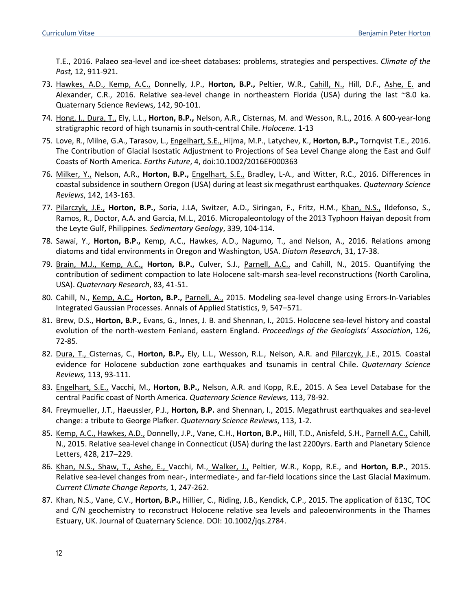T.E., 2016. Palaeo sea-level and ice-sheet databases: problems, strategies and perspectives. *Climate of the Past,* 12, 911-921.

- 73. Hawkes, A.D., Kemp, A.C., Donnelly, J.P., **Horton, B.P.,** Peltier, W.R., Cahill, N., Hill, D.F., Ashe, E. and Alexander, C.R., 2016. Relative sea-level change in northeastern Florida (USA) during the last ~8.0 ka. Quaternary Science Reviews, 142, 90-101.
- 74. Hong, I., Dura, T., Ely, L.L., **Horton, B.P.,** Nelson, A.R., Cisternas, M. and Wesson, R.L., 2016. A 600-year-long stratigraphic record of high tsunamis in south-central Chile. *Holocene*. 1-13
- 75. Love, R., Milne, G.A., Tarasov, L., Engelhart, S.E., Hijma, M.P., Latychev, K., **Horton, B.P.,** Tornqvist T.E., 2016. The Contribution of Glacial Isostatic Adjustment to Projections of Sea Level Change along the East and Gulf Coasts of North America. *Earths Future*, 4, doi:10.1002/2016EF000363
- 76. Milker, Y., Nelson, A.R., **Horton, B.P.,** Engelhart, S.E., Bradley, L-A., and Witter, R.C., 2016. Differences in coastal subsidence in southern Oregon (USA) during at least six megathrust earthquakes. *Quaternary Science Reviews*, 142, 143-163.
- 77. Pilarczyk, J.E., **Horton, B.P.,** Soria, J.LA, Switzer, A.D., Siringan, F., Fritz, H.M., Khan, N.S., Ildefonso, S., Ramos, R., Doctor, A.A. and Garcia, M.L., 2016. Micropaleontology of the 2013 Typhoon Haiyan deposit from the Leyte Gulf, Philippines. *Sedimentary Geology*, 339, 104-114.
- 78. Sawai, Y., **Horton, B.P.,** Kemp, A.C., Hawkes, A.D., Nagumo, T., and Nelson, A., 2016. Relations among diatoms and tidal environments in Oregon and Washington, USA. *Diatom Research*, 31, 17-38.
- 79. Brain, M.J., Kemp, A.C., **Horton, B.P.,** Culver, S.J., Parnell, A.C., and Cahill, N., 2015. Quantifying the contribution of sediment compaction to late Holocene salt-marsh sea-level reconstructions (North Carolina, USA). *Quaternary Research*, 83, 41-51.
- 80. Cahill, N., Kemp, A.C., **Horton, B.P.,** Parnell, A., 2015. Modeling sea-level change using Errors-In-Variables Integrated Gaussian Processes. Annals of Applied Statistics, 9, 547–571.
- 81. Brew, D.S., **Horton, B.P.,** Evans, G., Innes, J. B. and Shennan, I., 2015. Holocene sea-level history and coastal evolution of the north-western Fenland, eastern England. *Proceedings of the Geologists' Association*, 126, 72-85.
- 82. Dura, T., Cisternas, C., **Horton, B.P.,** Ely, L.L., Wesson, R.L., Nelson, A.R. and Pilarczyk, J.E., 2015*.* Coastal evidence for Holocene subduction zone earthquakes and tsunamis in central Chile. *Quaternary Science Reviews,* 113, 93-111.
- 83. Engelhart, S.E., Vacchi, M., **Horton, B.P.,** Nelson, A.R. and Kopp, R.E., 2015. A Sea Level Database for the central Pacific coast of North America. *Quaternary Science Reviews*, 113, 78-92.
- 84. Freymueller, J.T., Haeussler, P.J., **Horton, B.P.** and Shennan, I., 2015. Megathrust earthquakes and sea-level change: a tribute to George Plafker. *Quaternary Science Reviews*, 113, 1-2.
- 85. Kemp, A.C., Hawkes, A.D., Donnelly, J.P., Vane, C.H., **Horton, B.P.,** Hill, T.D., Anisfeld, S.H., Parnell A.C., Cahill, N., 2015. Relative sea-level change in Connecticut (USA) during the last 2200yrs. Earth and Planetary Science Letters, 428, 217–229.
- 86. Khan, N.S., Shaw, T., Ashe, E., Vacchi, M., Walker, J., Peltier, W.R., Kopp, R.E., and **Horton, B.P.**, 2015. Relative sea-level changes from near-, intermediate-, and far-field locations since the Last Glacial Maximum. *Current Climate Change Reports*, 1, 247-262.
- 87. Khan, N.S., Vane, C.V., **Horton, B.P.,** Hillier, C., Riding, J.B., Kendick, C.P., 2015. The application of δ13C, TOC and C/N geochemistry to reconstruct Holocene relative sea levels and paleoenvironments in the Thames Estuary, UK. Journal of Quaternary Science. DOI: 10.1002/jqs.2784.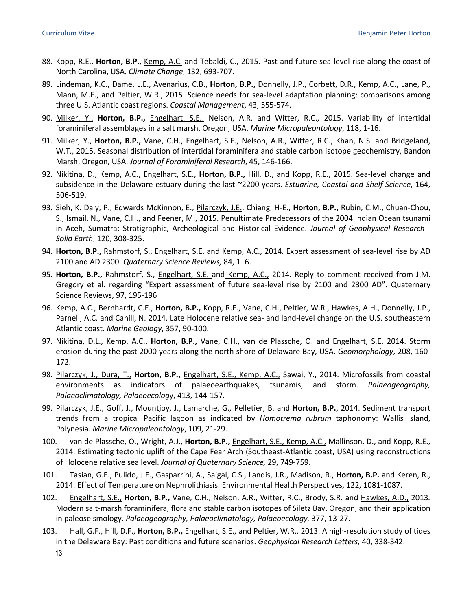- 88. Kopp, R.E., **Horton, B.P.,** Kemp, A.C. and Tebaldi, C., 2015. Past and future sea-level rise along the coast of North Carolina, USA*. Climate Change*, 132, 693-707.
- 89. Lindeman, K.C., Dame, L.E., Avenarius, C.B., **Horton, B.P.,** Donnelly, J.P., Corbett, D.R., Kemp, A.C., Lane, P., Mann, M.E., and Peltier, W.R., 2015. Science needs for sea-level adaptation planning: comparisons among three U.S. Atlantic coast regions. *Coastal Management*, 43, 555-574.
- 90. Milker, Y., **Horton, B.P.,** Engelhart, S.E., Nelson, A.R. and Witter, R.C., 2015. Variability of intertidal foraminiferal assemblages in a salt marsh, Oregon, USA. *Marine Micropaleontology*, 118, 1-16.
- 91. Milker, Y., **Horton, B.P.,** Vane, C.H., Engelhart, S.E., Nelson, A.R., Witter, R.C., Khan, N.S. and Bridgeland, W.T., 2015. Seasonal distribution of intertidal foraminifera and stable carbon isotope geochemistry, Bandon Marsh, Oregon, USA. *Journal of Foraminiferal Research*, 45, 146-166.
- 92. Nikitina, D., Kemp, A.C., Engelhart, S.E., **Horton, B.P.,** Hill, D., and Kopp, R.E., 2015. Sea-level change and subsidence in the Delaware estuary during the last ~2200 years. *Estuarine, Coastal and Shelf Science*, 164, 506-519.
- 93. Sieh, K. Daly, P., Edwards McKinnon, E., Pilarczyk, J.E., Chiang, H-E., **Horton, B.P.,** Rubin, C.M., Chuan-Chou, S., Ismail, N., Vane, C.H., and Feener, M., 2015. Penultimate Predecessors of the 2004 Indian Ocean tsunami in Aceh, Sumatra: Stratigraphic, Archeological and Historical Evidence. *Journal of Geophysical Research - Solid Earth*, 120, 308-325.
- 94. **Horton, B.P.,** Rahmstorf, S., Engelhart, S.E. and Kemp, A.C., 2014. Expert assessment of sea-level rise by AD 2100 and AD 2300. *Quaternary Science Reviews,* 84, 1–6.
- 95. **Horton, B.P.,** Rahmstorf, S., Engelhart, S.E. and Kemp, A.C., 2014. Reply to comment received from J.M. Gregory et al. regarding "Expert assessment of future sea-level rise by 2100 and 2300 AD". Quaternary Science Reviews, 97, 195-196
- 96. Kemp, A.C., Bernhardt, C.E., **Horton, B.P.,** Kopp, R.E., Vane, C.H., Peltier, W.R., Hawkes, A.H., Donnelly, J.P., Parnell, A.C. and Cahill, N. 2014. Late Holocene relative sea- and land-level change on the U.S. southeastern Atlantic coast. *Marine Geology*, 357, 90-100.
- 97. Nikitina, D.L., Kemp, A.C., **Horton, B.P.,** Vane, C.H., van de Plassche, O. and Engelhart, S.E. 2014. Storm erosion during the past 2000 years along the north shore of Delaware Bay, USA. *Geomorphology*, 208, 160- 172.
- 98. Pilarczyk, J., Dura, T., **Horton, B.P.,** Engelhart, S.E., Kemp, A.C., Sawai, Y., 2014. Microfossils from coastal environments as indicators of palaeoearthquakes, tsunamis, and storm. *Palaeogeography, Palaeoclimatology, Palaeoecolog*y, 413, 144-157.
- 99. Pilarczyk, J.E., Goff, J., Mountjoy, J., Lamarche, G., Pelletier, B. and **Horton, B.P.**, 2014. Sediment transport trends from a tropical Pacific lagoon as indicated by *Homotrema rubrum* taphonomy: Wallis Island, Polynesia. *Marine Micropaleontology*, 109, 21-29.
- 100. van de Plassche, O., Wright, A.J., **Horton, B.P.,** Engelhart, S.E., Kemp, A.C., Mallinson, D., and Kopp, R.E., 2014. Estimating tectonic uplift of the Cape Fear Arch (Southeast-Atlantic coast, USA) using reconstructions of Holocene relative sea level. *Journal of Quaternary Science,* 29, 749-759.
- 101. Tasian, G.E., Pulido, J.E., Gasparrini, A., Saigal, C.S., Landis, J.R., Madison, R., **Horton, B.P.** and Keren, R., 2014. Effect of Temperature on Nephrolithiasis. Environmental Health Perspectives, 122, 1081-1087.
- 102. Engelhart, S.E., **Horton, B.P.,** Vane, C.H., Nelson, A.R., Witter, R.C., Brody, S.R. and Hawkes, A.D., 2013*.*  Modern salt-marsh foraminifera, flora and stable carbon isotopes of Siletz Bay, Oregon, and their application in paleoseismology. *Palaeogeography, Palaeoclimatology, Palaeoecology.* 377, 13-27.
- 103. Hall, G.F., Hill, D.F., **Horton, B.P.,** Engelhart, S.E., and Peltier, W.R., 2013. A high-resolution study of tides in the Delaware Bay: Past conditions and future scenarios. *Geophysical Research Letters,* 40, 338-342.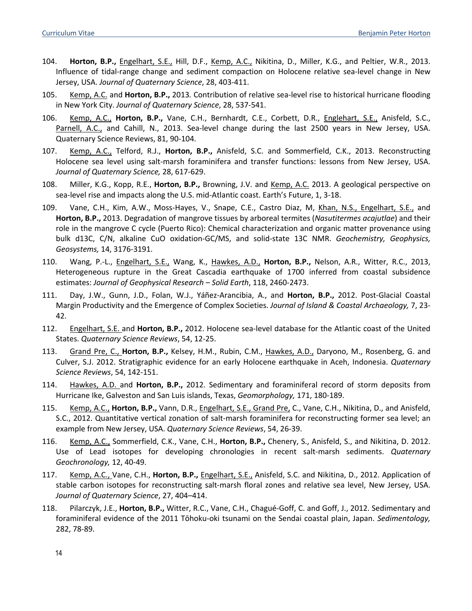- 104. **Horton, B.P.,** Engelhart, S.E., Hill, D.F., Kemp, A.C., Nikitina, D., Miller, K.G., and Peltier, W.R., 2013. Influence of tidal-range change and sediment compaction on Holocene relative sea-level change in New Jersey, USA. *Journal of Quaternary Science*, 28, 403-411.
- 105. Kemp, A.C. and **Horton, B.P.,** 2013*.* Contribution of relative sea-level rise to historical hurricane flooding in New York City. *Journal of Quaternary Science*, 28, 537-541.
- 106. Kemp, A.C., **Horton, B.P.,** Vane, C.H., Bernhardt, C.E., Corbett, D.R., Englehart, S.E., Anisfeld, S.C., Parnell, A.C., and Cahill, N., 2013. Sea-level change during the last 2500 years in New Jersey, USA. Quaternary Science Reviews, 81, 90-104.
- 107. Kemp, A.C., Telford, R.J., **Horton, B.P.,** Anisfeld, S.C. and Sommerfield, C.K., 2013. Reconstructing Holocene sea level using salt-marsh foraminifera and transfer functions: lessons from New Jersey, USA. *Journal of Quaternary Science,* 28, 617-629.
- 108. Miller, K.G., Kopp, R.E., **Horton, B.P.,** Browning, J.V. and Kemp, A.C. 2013. A geological perspective on sea-level rise and impacts along the U.S. mid-Atlantic coast. Earth's Future, 1, 3-18.
- 109. Vane, C.H., Kim, A.W., Moss-Hayes, V., Snape, C.E., Castro Diaz, M, Khan, N.S., Engelhart, S.E., and **Horton, B.P.,** 2013. Degradation of mangrove tissues by arboreal termites (*Nasutitermes acajutlae*) and their role in the mangrove C cycle (Puerto Rico): Chemical characterization and organic matter provenance using bulk d13C, C/N, alkaline CuO oxidation-GC/MS, and solid-state 13C NMR. *Geochemistry, Geophysics, Geosystems,* 14, 3176-3191.
- 110. Wang, P.-L., Engelhart, S.E., Wang, K., Hawkes, A.D., **Horton, B.P.,** Nelson, A.R., Witter, R.C., 2013, Heterogeneous rupture in the Great Cascadia earthquake of 1700 inferred from coastal subsidence estimates: *Journal of Geophysical Research – Solid Earth*, 118, 2460-2473.
- 111. Day, J.W., Gunn, J.D., Folan, W.J., Yáñez-Arancibia, A., and **Horton, B.P.,** 2012. Post-Glacial Coastal Margin Productivity and the Emergence of Complex Societies. *Journal of Island & Coastal Archaeology,* 7, 23- 42.
- 112. Engelhart, S.E. and **Horton, B.P.,** 2012. Holocene sea-level database for the Atlantic coast of the United States. *Quaternary Science Reviews*, 54, 12-25.
- 113. Grand Pre, C., **Horton, B.P.,** Kelsey, H.M., Rubin, C.M., Hawkes, A.D., Daryono, M., Rosenberg, G. and Culver, S.J. 2012. Stratigraphic evidence for an early Holocene earthquake in Aceh, Indonesia. *Quaternary Science Reviews*, 54, 142-151.
- 114. Hawkes, A.D. and **Horton, B.P.,** 2012. Sedimentary and foraminiferal record of storm deposits from Hurricane Ike, Galveston and San Luis islands, Texas, *Geomorphology,* 171, 180-189.
- 115. Kemp, A.C., **Horton, B.P.,** Vann, D.R., Engelhart, S.E., Grand Pre, C., Vane, C.H., Nikitina, D., and Anisfeld, S.C., 2012. Quantitative vertical zonation of salt-marsh foraminifera for reconstructing former sea level; an example from New Jersey, USA. *Quaternary Science Reviews*, 54, 26-39.
- 116. Kemp, A.C., Sommerfield, C.K., Vane, C.H., **Horton, B.P.,** Chenery, S., Anisfeld, S., and Nikitina, D. 2012. Use of Lead isotopes for developing chronologies in recent salt-marsh sediments. *Quaternary Geochronology,* 12, 40-49.
- 117. Kemp, A.C., Vane, C.H., **Horton, B.P.,** Engelhart, S.E., Anisfeld, S.C. and Nikitina, D., 2012. Application of stable carbon isotopes for reconstructing salt-marsh floral zones and relative sea level, New Jersey, USA. *Journal of Quaternary Science*, 27, 404–414.
- 118. Pilarczyk, J.E., **Horton, B.P.,** Witter, R.C., Vane, C.H., Chagué-Goff, C. and Goff, J., 2012. Sedimentary and foraminiferal evidence of the 2011 Tōhoku-oki tsunami on the Sendai coastal plain, Japan. *Sedimentology,*  282, 78-89.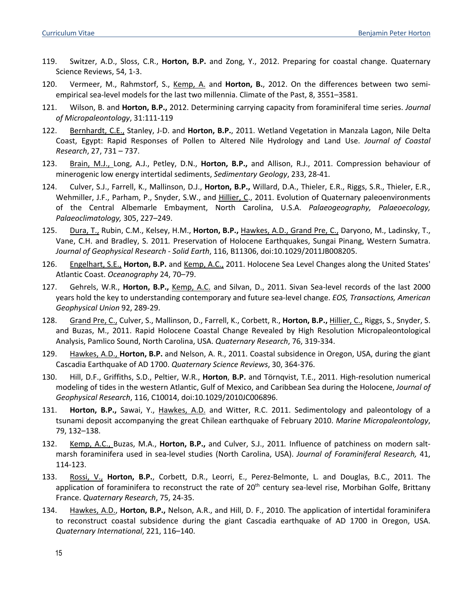- 119. Switzer, A.D., Sloss, C.R., **Horton, B.P.** and Zong, Y., 2012. Preparing for coastal change. Quaternary Science Reviews, 54, 1-3.
- 120. Vermeer, M., Rahmstorf, S., Kemp, A. and Horton, B., 2012. On the differences between two semiempirical sea-level models for the last two millennia. Climate of the Past, 8, 3551–3581.
- 121. Wilson, B. and **Horton, B.P.,** 2012. Determining carrying capacity from foraminiferal time series. *Journal of Micropaleontology*, 31:111-119
- 122. Bernhardt, C.E., Stanley, J-D. and **Horton, B.P.**, 2011. Wetland Vegetation in Manzala Lagon, Nile Delta Coast, Egypt: Rapid Responses of Pollen to Altered Nile Hydrology and Land Use. *Journal of Coastal Research*, 27, 731 – 737.
- 123. Brain, M.J., Long, A.J., Petley, D.N., **Horton, B.P.,** and Allison, R.J., 2011. Compression behaviour of minerogenic low energy intertidal sediments, *Sedimentary Geology*, 233, 28-41.
- 124. Culver, S.J., Farrell, K., Mallinson, D.J., **Horton, B.P.,** Willard, D.A., Thieler, E.R., Riggs, S.R., Thieler, E.R., Wehmiller, J.F., Parham, P., Snyder, S.W., and Hillier, C., 2011. Evolution of Quaternary paleoenvironments of the Central Albemarle Embayment, North Carolina, U.S.A. *Palaeogeography, Palaeoecology, Palaeoclimatology,* 305, 227–249.
- 125. Dura, T., Rubin, C.M., Kelsey, H.M., **Horton, B.P.,** Hawkes, A.D., Grand Pre, C., Daryono, M., Ladinsky, T., Vane, C.H. and Bradley, S. 2011*.* Preservation of Holocene Earthquakes, Sungai Pinang, Western Sumatra. *Journal of Geophysical Research - Solid Earth*, 116, B11306, doi:10.1029/2011JB008205.
- 126. Engelhart, S.E., **Horton, B.P.** and Kemp, A.C., 2011. Holocene Sea Level Changes along the United States' Atlantic Coast. *Oceanography* 24, 70–79.
- 127. Gehrels, W.R., **Horton, B.P.,** Kemp, A.C. and Silvan, D., 2011. Sivan Sea-level records of the last 2000 years hold the key to understanding contemporary and future sea-level change. *EOS, Transactions, American Geophysical Union* 92, 289-29.
- 128. Grand Pre, C., Culver, S., Mallinson, D., Farrell, K., Corbett, R., **Horton, B.P.,** Hillier, C., Riggs, S., Snyder, S. and Buzas, M., 2011. Rapid Holocene Coastal Change Revealed by High Resolution Micropaleontological Analysis, Pamlico Sound, North Carolina, USA. *Quaternary Research*, 76, 319-334.
- 129. Hawkes, A.D., **Horton, B.P.** and Nelson, A. R., 2011. Coastal subsidence in Oregon, USA, during the giant Cascadia Earthquake of AD 1700. *Quaternary Science Reviews*, 30, 364-376.
- 130. Hill, D.F., Griffiths, S.D., Peltier, W.R., **Horton**, **B.P.** and Törnqvist, T.E., 2011. High-resolution numerical modeling of tides in the western Atlantic, Gulf of Mexico, and Caribbean Sea during the Holocene, *Journal of Geophysical Research*, 116, C10014, doi:10.1029/2010JC006896.
- 131. **Horton, B.P.,** Sawai, Y., Hawkes, A.D. and Witter, R.C. 2011. Sedimentology and paleontology of a tsunami deposit accompanying the great Chilean earthquake of February 2010. *Marine Micropaleontology*, 79, 132–138.
- 132. Kemp, A.C., Buzas, M.A., **Horton, B.P.,** and Culver, S.J., 2011*.* Influence of patchiness on modern saltmarsh foraminifera used in sea-level studies (North Carolina, USA). *Journal of Foraminiferal Research,* 41, 114-123.
- 133. Rossi, V., **Horton, B.P.**, Corbett, D.R., Leorri, E., Perez-Belmonte, L. and Douglas, B.C., 2011. The application of foraminifera to reconstruct the rate of  $20<sup>th</sup>$  century sea-level rise, Morbihan Golfe, Brittany France. *Quaternary Research*, 75, 24-35.
- 134. Hawkes, A.D., **Horton, B.P.,** Nelson, A.R., and Hill, D. F., 2010. The application of intertidal foraminifera to reconstruct coastal subsidence during the giant Cascadia earthquake of AD 1700 in Oregon, USA. *Quaternary International*, 221, 116–140.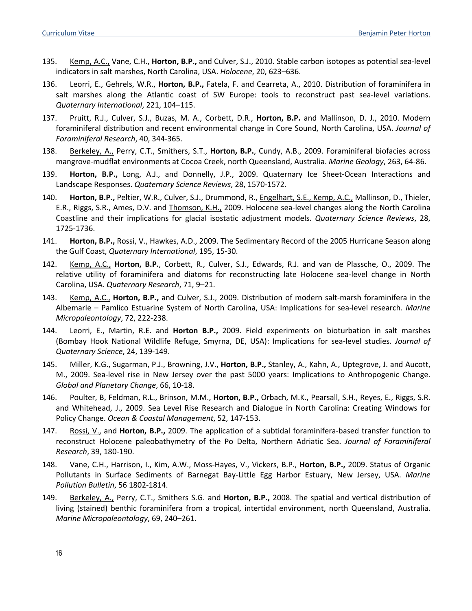- 135. Kemp, A.C., Vane, C.H., **Horton, B.P.,** and Culver, S.J., 2010. Stable carbon isotopes as potential sea-level indicators in salt marshes, North Carolina, USA. *Holocene*, 20, 623–636.
- 136. Leorri, E., Gehrels, W.R., **Horton, B.P.,** Fatela, F. and Cearreta, A., 2010. Distribution of foraminifera in salt marshes along the Atlantic coast of SW Europe: tools to reconstruct past sea-level variations. *Quaternary International*, 221, 104–115.
- 137. Pruitt, R.J., Culver, S.J., Buzas, M. A., Corbett, D.R., **Horton, B.P.** and Mallinson, D. J., 2010. Modern foraminiferal distribution and recent environmental change in Core Sound, North Carolina, USA. *Journal of Foraminiferal Research*, 40, 344-365.
- 138. Berkeley, A., Perry, C.T., Smithers, S.T., **Horton, B.P.**, Cundy, A.B., 2009. Foraminiferal biofacies across mangrove-mudflat environments at Cocoa Creek, north Queensland, Australia. *Marine Geology*, 263, 64-86.
- 139. **Horton, B.P.,** Long, A.J., and Donnelly, J.P., 2009. Quaternary Ice Sheet-Ocean Interactions and Landscape Responses. *Quaternary Science Reviews*, 28, 1570-1572.
- 140. **Horton, B.P.,** Peltier, W.R., Culver, S.J., Drummond, R., Engelhart, S.E., Kemp, A.C., Mallinson, D., Thieler, E.R., Riggs, S.R., Ames, D.V. and Thomson, K.H., 2009. Holocene sea-level changes along the North Carolina Coastline and their implications for glacial isostatic adjustment models. *Quaternary Science Reviews*, 28, 1725-1736.
- 141. **Horton, B.P.,** Rossi, V., Hawkes, A.D., 2009. The Sedimentary Record of the 2005 Hurricane Season along the Gulf Coast, *Quaternary International*, 195, 15-30.
- 142. Kemp, A.C., **Horton, B.P.**, Corbett, R., Culver, S.J., Edwards, R.J. and van de Plassche, O., 2009. The relative utility of foraminifera and diatoms for reconstructing late Holocene sea-level change in North Carolina, USA. *Quaternary Research*, 71, 9–21.
- 143. Kemp, A.C., **Horton, B.P.,** and Culver, S.J., 2009. Distribution of modern salt-marsh foraminifera in the Albemarle – Pamlico Estuarine System of North Carolina, USA: Implications for sea-level research. *Marine Micropaleontology*, 72, 222-238.
- 144. Leorri, E., Martin, R.E. and **Horton B.P.,** 2009. Field experiments on bioturbation in salt marshes (Bombay Hook National Wildlife Refuge, Smyrna, DE, USA): Implications for sea-level studies*. Journal of Quaternary Science*, 24, 139-149.
- 145. Miller, K.G., Sugarman, P.J., Browning, J.V., **Horton, B.P.,** Stanley, A., Kahn, A., Uptegrove, J. and Aucott, M., 2009. Sea-level rise in New Jersey over the past 5000 years: Implications to Anthropogenic Change. *Global and Planetary Change*, 66, 10-18.
- 146. Poulter, B, Feldman, R.L., Brinson, M.M., **Horton, B.P.,** Orbach, M.K., Pearsall, S.H., Reyes, E., Riggs, S.R. and Whitehead, J., 2009. Sea Level Rise Research and Dialogue in North Carolina: Creating Windows for Policy Change. *Ocean & Coastal Management*, 52, 147-153.
- 147. Rossi, V., and **Horton, B.P.,** 2009. The application of a subtidal foraminifera-based transfer function to reconstruct Holocene paleobathymetry of the Po Delta, Northern Adriatic Sea. *Journal of Foraminiferal Research*, 39, 180-190.
- 148. Vane, C.H., Harrison, I., Kim, A.W., Moss-Hayes, V., Vickers, B.P., **Horton, B.P.,** 2009. Status of Organic Pollutants in Surface Sediments of Barnegat Bay-Little Egg Harbor Estuary, New Jersey, USA. *Marine Pollution Bulletin*, 56 1802-1814.
- 149. Berkeley, A., Perry, C.T., Smithers S.G. and **Horton, B.P.,** 2008. The spatial and vertical distribution of living (stained) benthic foraminifera from a tropical, intertidal environment, north Queensland, Australia. *Marine Micropaleontology*, 69, 240–261.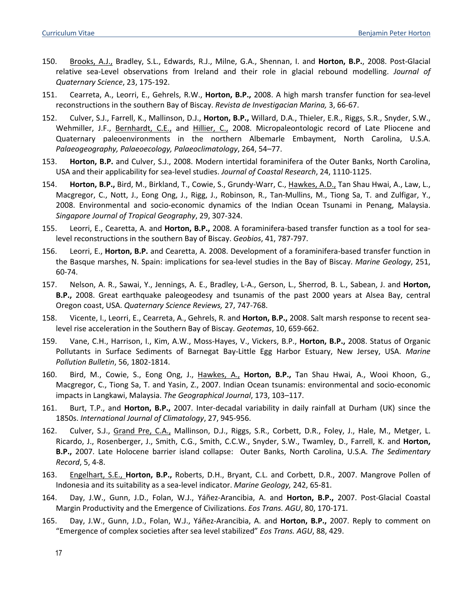- 150. Brooks, A.J., Bradley, S.L., Edwards, R.J., Milne, G.A., Shennan, I. and **Horton, B.P.**, 2008. Post-Glacial relative sea-Level observations from Ireland and their role in glacial rebound modelling. *Journal of Quaternary Science*, 23, 175-192.
- 151. Cearreta, A., Leorri, E., Gehrels, R.W., **Horton, B.P.,** 2008. A high marsh transfer function for sea-level reconstructions in the southern Bay of Biscay. *Revista de Investigacian Marina,* 3, 66-67.
- 152. Culver, S.J., Farrell, K., Mallinson, D.J., **Horton, B.P.,** Willard, D.A., Thieler, E.R., Riggs, S.R., Snyder, S.W., Wehmiller, J.F., Bernhardt, C.E., and Hillier, C., 2008. Micropaleontologic record of Late Pliocene and Quaternary paleoenvironments in the northern Albemarle Embayment, North Carolina, U.S.A. *Palaeogeography, Palaeoecology, Palaeoclimatology*, 264, 54–77.
- 153. **Horton, B.P.** and Culver, S.J., 2008. Modern intertidal foraminifera of the Outer Banks, North Carolina, USA and their applicability for sea-level studies. *Journal of Coastal Research*, 24, 1110-1125.
- 154. **Horton, B.P.,** Bird, M., Birkland, T., Cowie, S., Grundy-Warr, C., Hawkes, A.D., Tan Shau Hwai, A., Law, L., Macgregor, C., Nott, J., Eong Ong, J., Rigg, J., Robinson, R., Tan-Mullins, M., Tiong Sa, T. and Zulfigar, Y., 2008. Environmental and socio-economic dynamics of the Indian Ocean Tsunami in Penang, Malaysia. *Singapore Journal of Tropical Geography*, 29, 307-324.
- 155. Leorri, E., Cearetta, A. and **Horton, B.P.,** 2008. A foraminifera-based transfer function as a tool for sealevel reconstructions in the southern Bay of Biscay. *Geobios*, 41, 787-797.
- 156. Leorri, E., **Horton, B.P.** and Cearetta, A. 2008. Development of a foraminifera-based transfer function in the Basque marshes, N. Spain: implications for sea-level studies in the Bay of Biscay. *Marine Geology*, 251, 60-74.
- 157. Nelson, A. R., Sawai, Y., Jennings, A. E., Bradley, L-A., Gerson, L., Sherrod, B. L., Sabean, J. and **Horton, B.P.,** 2008. Great earthquake paleogeodesy and tsunamis of the past 2000 years at Alsea Bay, central Oregon coast, USA. *Quaternary Science Reviews,* 27, 747-768.
- 158. Vicente, I., Leorri, E., Cearreta, A., Gehrels, R. and **Horton, B.P.,** 2008. Salt marsh response to recent sealevel rise acceleration in the Southern Bay of Biscay. *Geotemas*, 10, 659-662.
- 159. Vane, C.H., Harrison, I., Kim, A.W., Moss-Hayes, V., Vickers, B.P., **Horton, B.P.,** 2008. Status of Organic Pollutants in Surface Sediments of Barnegat Bay-Little Egg Harbor Estuary, New Jersey, USA. *Marine Pollution Bulletin*, 56, 1802-1814.
- 160. Bird, M., Cowie, S., Eong Ong, J., Hawkes, A., **Horton, B.P.,** Tan Shau Hwai, A., Wooi Khoon, G., Macgregor, C., Tiong Sa, T. and Yasin, Z., 2007. Indian Ocean tsunamis: environmental and socio-economic impacts in Langkawi, Malaysia. *The Geographical Journal*, 173, 103–117.
- 161. Burt, T.P., and **Horton, B.P.,** 2007. Inter-decadal variability in daily rainfall at Durham (UK) since the 1850s. *International Journal of Climatology*, 27, 945-956.
- 162. Culver, S.J., Grand Pre, C.A., Mallinson, D.J., Riggs, S.R., Corbett, D.R., Foley, J., Hale, M., Metger, L. Ricardo, J., Rosenberger, J., Smith, C.G., Smith, C.C.W., Snyder, S.W., Twamley, D., Farrell, K. and **Horton, B.P.,** 2007. Late Holocene barrier island collapse: Outer Banks, North Carolina, U.S.A. *The Sedimentary Record*, 5, 4-8.
- 163. Engelhart, S.E., **Horton, B.P.,** Roberts, D.H., Bryant, C.L. and Corbett, D.R., 2007. Mangrove Pollen of Indonesia and its suitability as a sea-level indicator. *Marine Geology,* 242, 65-81.
- 164. Day, J.W., Gunn, J.D., Folan, W.J., Yáñez-Arancibia, A. and **Horton, B.P.,** 2007. Post-Glacial Coastal Margin Productivity and the Emergence of Civilizations. *Eos Trans. AGU*, 80, 170-171.
- 165. Day, J.W., Gunn, J.D., Folan, W.J., Yáñez-Arancibia, A. and **Horton, B.P.,** 2007. Reply to comment on "Emergence of complex societies after sea level stabilized" *Eos Trans. AGU*, 88, 429.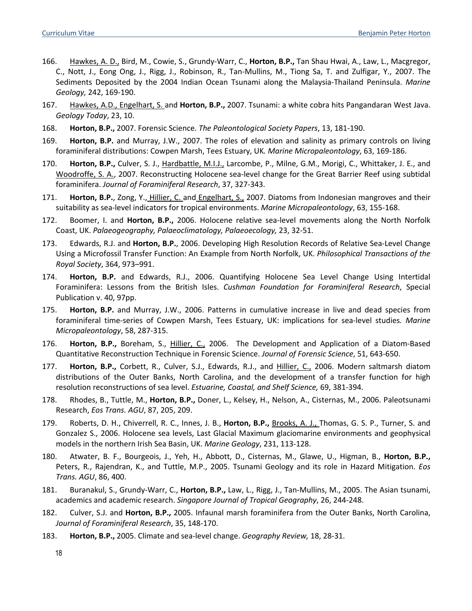- 166. Hawkes, A. D., Bird, M., Cowie, S., Grundy-Warr, C., **Horton, B.P.,** Tan Shau Hwai, A., Law, L., Macgregor, C., Nott, J., Eong Ong, J., Rigg, J., Robinson, R., Tan-Mullins, M., Tiong Sa, T. and Zulfigar, Y., 2007. The Sediments Deposited by the 2004 Indian Ocean Tsunami along the Malaysia-Thailand Peninsula. *Marine Geology,* 242, 169-190.
- 167. Hawkes, A.D., Engelhart, S. and **Horton, B.P.,** 2007. Tsunami: a white cobra hits Pangandaran West Java. *Geology Today*, 23, 10.
- 168. **Horton, B.P.,** 2007. Forensic Science. *The Paleontological Society Papers*, 13, 181-190.
- 169. **Horton, B.P.** and Murray, J.W., 2007. The roles of elevation and salinity as primary controls on living foraminiferal distributions: Cowpen Marsh, Tees Estuary, UK*. Marine Micropaleontology*, 63, 169-186.
- 170. **Horton, B.P.,** Culver, S. J., Hardbattle, M.I.J., Larcombe, P., Milne, G.M., Morigi, C., Whittaker, J. E., and Woodroffe, S. A., 2007. Reconstructing Holocene sea-level change for the Great Barrier Reef using subtidal foraminifera. *Journal of Foraminiferal Research*, 37, 327-343.
- 171. **Horton, B.P.**, Zong, Y., Hillier, C. and Engelhart, S., 2007. Diatoms from Indonesian mangroves and their suitability as sea-level indicators for tropical environments. *Marine Micropaleontology*, 63, 155-168.
- 172. Boomer, I. and **Horton, B.P.,** 2006. Holocene relative sea-level movements along the North Norfolk Coast, UK. *Palaeogeography, Palaeoclimatology, Palaeoecology,* 23, 32-51.
- 173. Edwards, R.J. and **Horton, B.P.**, 2006. Developing High Resolution Records of Relative Sea-Level Change Using a Microfossil Transfer Function: An Example from North Norfolk, UK. *Philosophical Transactions of the Royal Society*, 364, 973–991.
- 174. **Horton, B.P.** and Edwards, R.J., 2006. Quantifying Holocene Sea Level Change Using Intertidal Foraminifera: Lessons from the British Isles. *Cushman Foundation for Foraminiferal Research*, Special Publication v. 40, 97pp.
- 175. **Horton, B.P.** and Murray, J.W., 2006. Patterns in cumulative increase in live and dead species from foraminiferal time-series of Cowpen Marsh, Tees Estuary, UK: implications for sea-level studies*. Marine Micropaleontology*, 58, 287-315.
- 176. **Horton, B.P.,** Boreham, S., Hillier, C., 2006. The Development and Application of a Diatom-Based Quantitative Reconstruction Technique in Forensic Science. *Journal of Forensic Science*, 51, 643-650.
- 177. **Horton, B.P.,** Corbett, R., Culver, S.J., Edwards, R.J., and Hillier, C., 2006. Modern saltmarsh diatom distributions of the Outer Banks, North Carolina, and the development of a transfer function for high resolution reconstructions of sea level. *Estuarine, Coastal, and Shelf Science,* 69, 381-394.
- 178. Rhodes, B., Tuttle, M., **Horton, B.P.,** Doner, L., Kelsey, H., Nelson, A., Cisternas, M., 2006. Paleotsunami Research, *Eos Trans. AGU*, 87, 205, 209.
- 179. Roberts, D. H., Chiverrell, R. C., Innes, J. B., **Horton, B.P.,** Brooks, A. J., Thomas, G. S. P., Turner, S. and Gonzalez S., 2006. Holocene sea levels, Last Glacial Maximum glaciomarine environments and geophysical models in the northern Irish Sea Basin, UK. *Marine Geology*, 231, 113-128.
- 180. Atwater, B. F., Bourgeois, J., Yeh, H., Abbott, D., Cisternas, M., Glawe, U., Higman, B., **Horton, B.P.,** Peters, R., Rajendran, K., and Tuttle, M.P., 2005. Tsunami Geology and its role in Hazard Mitigation. *Eos Trans. AGU*, 86, 400.
- 181. Buranakul, S., Grundy-Warr, C., **Horton, B.P.,** Law, L., Rigg, J., Tan-Mullins, M., 2005. The Asian tsunami, academics and academic research. *Singapore Journal of Tropical Geography*, 26, 244-248.
- 182. Culver, S.J. and **Horton, B.P.,** 2005. Infaunal marsh foraminifera from the Outer Banks, North Carolina, *Journal of Foraminiferal Research*, 35, 148-170.
- 183. **Horton, B.P.,** 2005. Climate and sea-level change. *Geography Review,* 18, 28-31.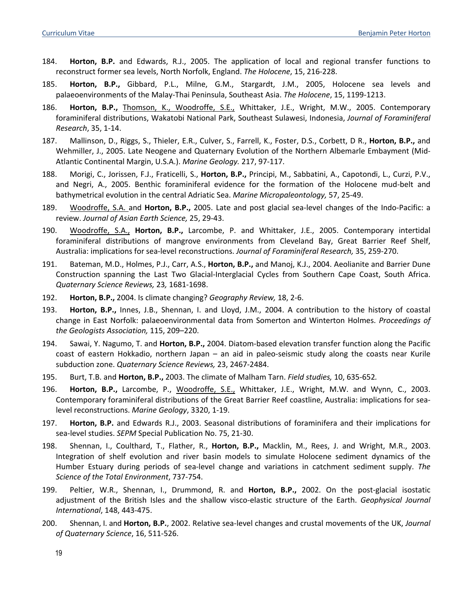- 184. **Horton, B.P.** and Edwards, R.J., 2005. The application of local and regional transfer functions to reconstruct former sea levels, North Norfolk, England. *The Holocene*, 15, 216-228.
- 185. **Horton, B.P.,** Gibbard, P.L., Milne, G.M., Stargardt, J.M., 2005, Holocene sea levels and palaeoenvironments of the Malay-Thai Peninsula, Southeast Asia. *The Holocene*, 15, 1199-1213.
- 186. **Horton, B.P.,** Thomson, K., Woodroffe, S.E., Whittaker, J.E., Wright, M.W., 2005. Contemporary foraminiferal distributions, Wakatobi National Park, Southeast Sulawesi, Indonesia, *Journal of Foraminiferal Research*, 35, 1-14.
- 187. Mallinson, D., Riggs, S., Thieler, E.R., Culver, S., Farrell, K., Foster, D.S., Corbett, D R., **Horton, B.P.,** and Wehmiller, J., 2005. Late Neogene and Quaternary Evolution of the Northern Albemarle Embayment (Mid-Atlantic Continental Margin, U.S.A.). *Marine Geology.* 217, 97-117.
- 188. Morigi, C., Jorissen, F.J., Fraticelli, S., **Horton, B.P.,** Principi, M., Sabbatini, A., Capotondi, L., Curzi, P.V., and Negri, A., 2005. Benthic foraminiferal evidence for the formation of the Holocene mud-belt and bathymetrical evolution in the central Adriatic Sea. *Marine Micropaleontology,* 57, 25-49.
- 189. Woodroffe, S.A. and **Horton, B.P.,** 2005. Late and post glacial sea-level changes of the Indo-Pacific: a review. *Journal of Asian Earth Science,* 25, 29-43.
- 190. Woodroffe, S.A., **Horton, B.P.,** Larcombe, P. and Whittaker, J.E., 2005. Contemporary intertidal foraminiferal distributions of mangrove environments from Cleveland Bay, Great Barrier Reef Shelf, Australia: implications for sea-level reconstructions. *Journal of Foraminiferal Research,* 35, 259-270.
- 191. Bateman, M.D., Holmes, P.J., Carr, A.S., **Horton, B.P.,** and Manoj, K.J., 2004. Aeolianite and Barrier Dune Construction spanning the Last Two Glacial-Interglacial Cycles from Southern Cape Coast, South Africa. *Quaternary Science Reviews,* 23*,* 1681-1698.
- 192. **Horton, B.P.,** 2004. Is climate changing? *Geography Review,* 18, 2-6.
- 193. **Horton, B.P.,** Innes, J.B., Shennan, I. and Lloyd, J.M., 2004. A contribution to the history of coastal change in East Norfolk: palaeoenvironmental data from Somerton and Winterton Holmes. *Proceedings of the Geologists Association,* 115, 209–220.
- 194. Sawai, Y. Nagumo, T. and **Horton, B.P.,** 2004. Diatom-based elevation transfer function along the Pacific coast of eastern Hokkadio, northern Japan – an aid in paleo-seismic study along the coasts near Kurile subduction zone. *Quaternary Science Reviews,* 23, 2467-2484.
- 195. Burt, T.B. and **Horton, B.P.,** 2003. The climate of Malham Tarn. *Field studies,* 10, 635-652*.*
- 196. **Horton, B.P.,** Larcombe, P., Woodroffe, S.E., Whittaker, J.E., Wright, M.W. and Wynn, C., 2003. Contemporary foraminiferal distributions of the Great Barrier Reef coastline, Australia: implications for sealevel reconstructions. *Marine Geology*, 3320, 1-19.
- 197. **Horton, B.P.** and Edwards R.J., 2003. Seasonal distributions of foraminifera and their implications for sea-level studies. *SEPM* Special Publication No. 75, 21-30.
- 198. Shennan, I., Coulthard, T., Flather, R., **Horton, B.P.,** Macklin, M., Rees, J. and Wright, M.R., 2003. Integration of shelf evolution and river basin models to simulate Holocene sediment dynamics of the Humber Estuary during periods of sea-level change and variations in catchment sediment supply. *The Science of the Total Environment*, 737-754.
- 199. Peltier, W.R., Shennan, I., Drummond, R. and **Horton, B.P.,** 2002. On the post-glacial isostatic adjustment of the British Isles and the shallow visco-elastic structure of the Earth. *Geophysical Journal International*, 148, 443-475.
- 200. Shennan, I. and **Horton, B.P.**, 2002. Relative sea-level changes and crustal movements of the UK, *Journal of Quaternary Science*, 16, 511-526.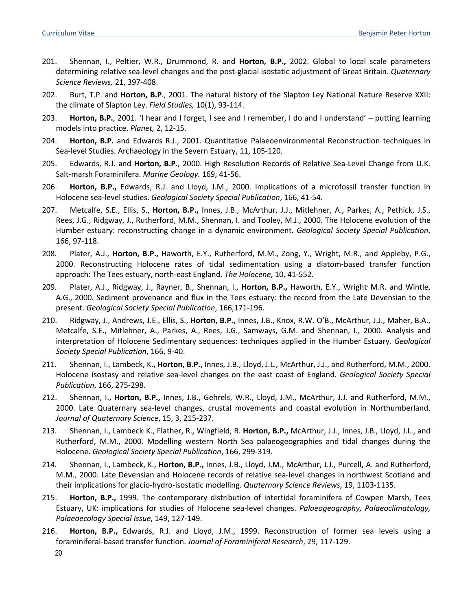- 201. Shennan, I., Peltier, W.R., Drummond, R. and **Horton, B.P.,** 2002. Global to local scale parameters determining relative sea-level changes and the post-glacial isostatic adjustment of Great Britain. *Quaternary Science Reviews,* 21, 397-408.
- 202. Burt, T.P. and **Horton, B.P**., 2001. The natural history of the Slapton Ley National Nature Reserve XXII: the climate of Slapton Ley. *Field Studies,* 10(1), 93-114.
- 203. **Horton, B.P.**, 2001. 'I hear and I forget, I see and I remember, I do and I understand' putting learning models into practice. *Planet,* 2, 12-15.
- 204. **Horton, B.P.** and Edwards R.J., 2001. Quantitative Palaeoenvironmental Reconstruction techniques in Sea-level Studies. Archaeology in the Severn Estuary, 11, 105-120.
- 205. Edwards, R.J. and **Horton, B.P.**, 2000. High Resolution Records of Relative Sea-Level Change from U.K. Salt-marsh Foraminifera. *Marine Geology.* 169, 41-56.
- 206. **Horton, B.P.,** Edwards, R.J. and Lloyd, J.M., 2000. Implications of a microfossil transfer function in Holocene sea-level studies. *Geological Society Special Publication*, 166, 41-54.
- 207. Metcalfe, S.E., Ellis, S., **Horton, B.P.,** Innes, J.B., McArthur, J.J., Mitlehner, A., Parkes, A., Pethick, J.S., Rees, J.G., Ridgway, J., Rutherford, M.M., Shennan, I. and Tooley, M.J., 2000. The Holocene evolution of the Humber estuary: reconstructing change in a dynamic environment. *Geological Society Special Publication*, 166, 97-118.
- 208. Plater, A.J., **Horton, B.P.,** Haworth, E.Y., Rutherford, M.M., Zong, Y., Wright, M.R., and Appleby, P.G., 2000. Reconstructing Holocene rates of tidal sedimentation using a diatom-based transfer function approach: The Tees estuary, north-east England. *The Holocene*, 10, 41-552.
- 209. Plater, A.J., Ridgway, J., Rayner, B., Shennan, I., **Horton, B.P.,** Haworth, E.Y., Wright, M.R. and Wintle, A.G., 2000. Sediment provenance and flux in the Tees estuary: the record from the Late Devensian to the present. *Geological Society Special Publication*, 166,171-196.
- 210. Ridgway, J., Andrews, J.E., Ellis, S., **Horton, B.P.,** Innes, J.B., Knox, R.W. O'B., McArthur, J.J., Maher, B.A., Metcalfe, S.E., Mitlehner, A., Parkes, A., Rees, J.G., Samways, G.M. and Shennan, I., 2000. Analysis and interpretation of Holocene Sedimentary sequences: techniques applied in the Humber Estuary. *Geological Society Special Publication*, 166, 9-40.
- 211. Shennan, I., Lambeck, K., **Horton, B.P.,** Innes, J.B., Lloyd, J.L., McArthur, J.J., and Rutherford, M.M., 2000. Holocene isostasy and relative sea-level changes on the east coast of England. *Geological Society Special Publication*, 166, 275-298.
- 212. Shennan, I., **Horton, B.P.,** Innes, J.B., Gehrels, W.R., Lloyd, J.M., McArthur, J.J. and Rutherford, M.M., 2000. Late Quaternary sea-level changes, crustal movements and coastal evolution in Northumberland. *Journal of Quaternary Science*, 15, 3, 215-237.
- 213. Shennan, I., Lambeck, K., Flather, R., Wingfield, R. **Horton, B.P.,** McArthur, J.J., Innes, J.B., Lloyd, J.L., and Rutherford, M.M., 2000. Modelling western North Sea palaeogeographies and tidal changes during the Holocene. *Geological Society Special Publication*, 166, 299-319.
- 214. Shennan, I., Lambeck, K., **Horton, B.P.,** Innes, J.B., Lloyd, J.M., McArthur, J.J., Purcell, A. and Rutherford, M.M., 2000. Late Devensian and Holocene records of relative sea-level changes in northwest Scotland and their implications for glacio-hydro-isostatic modelling. *Quaternary Science Reviews*, 19, 1103-1135.
- 215. **Horton, B.P.,** 1999. The contemporary distribution of intertidal foraminifera of Cowpen Marsh, Tees Estuary, UK: implications for studies of Holocene sea-level changes. *Palaeogeography, Palaeoclimatology, Palaeoecology Special Issue*, 149, 127-149.
- 216. **Horton, B.P.,** Edwards, R.J. and Lloyd, J.M., 1999. Reconstruction of former sea levels using a foraminiferal-based transfer function. *Journal of Foraminiferal Research*, 29, 117-129.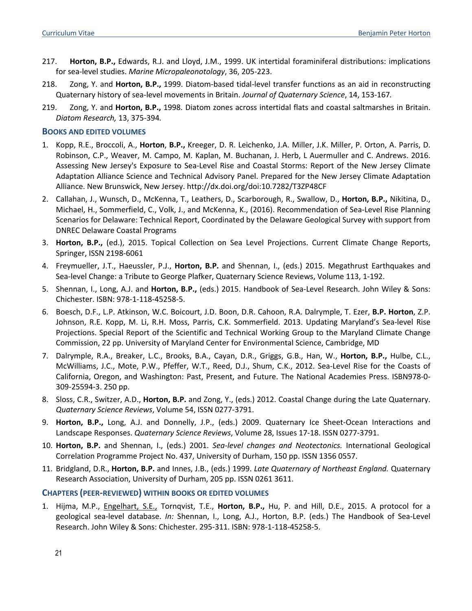- 217. **Horton, B.P.,** Edwards, R.J. and Lloyd, J.M., 1999. UK intertidal foraminiferal distributions: implications for sea-level studies. *Marine Micropaleonotology*, 36, 205-223.
- 218. Zong, Y. and **Horton, B.P.,** 1999. Diatom-based tidal-level transfer functions as an aid in reconstructing Quaternary history of sea-level movements in Britain. *Journal of Quaternary Science*, 14, 153-167*.*
- 219. Zong, Y. and **Horton, B.P.,** 1998. Diatom zones across intertidal flats and coastal saltmarshes in Britain. *Diatom Research,* 13, 375-394*.*

#### **BOOKS AND EDITED VOLUMES**

- 1. Kopp, R.E., Broccoli, A., **Horton**, **B.P.,** Kreeger, D. R. Leichenko, J.A. Miller, J.K. Miller, P. Orton, A. Parris, D. Robinson, C.P., Weaver, M. Campo, M. Kaplan, M. Buchanan, J. Herb, L Auermuller and C. Andrews. 2016. Assessing New Jersey's Exposure to Sea-Level Rise and Coastal Storms: Report of the New Jersey Climate Adaptation Alliance Science and Technical Advisory Panel. Prepared for the New Jersey Climate Adaptation Alliance. New Brunswick, New Jersey. http://dx.doi.org/doi:10.7282/T3ZP48CF
- 2. Callahan, J., Wunsch, D., McKenna, T., Leathers, D., Scarborough, R., Swallow, D., **Horton, B.P.,** Nikitina, D., Michael, H., Sommerfield, C., Volk, J., and McKenna, K., (2016). Recommendation of Sea-Level Rise Planning Scenarios for Delaware: Technical Report, Coordinated by the Delaware Geological Survey with support from DNREC Delaware Coastal Programs
- 3. **Horton, B.P.,** (ed.), 2015. Topical Collection on Sea Level Projections. Current Climate Change Reports, Springer, ISSN 2198-6061
- 4. Freymueller, J.T., Haeussler, P.J., **Horton, B.P.** and Shennan, I., (eds.) 2015. Megathrust Earthquakes and Sea-level Change: a Tribute to George Plafker, Quaternary Science Reviews, Volume 113, 1-192.
- 5. Shennan, I., Long, A.J. and **Horton, B.P.,** (eds.) 2015. Handbook of Sea-Level Research. John Wiley & Sons: Chichester. ISBN: 978-1-118-45258-5.
- 6. Boesch, D.F., L.P. Atkinson, W.C. Boicourt, J.D. Boon, D.R. Cahoon, R.A. Dalrymple, T. Ezer, **B.P. Horton**, Z.P. Johnson, R.E. Kopp, M. Li, R.H. Moss, Parris, C.K. Sommerfield. 2013. Updating Maryland's Sea-level Rise Projections. Special Report of the Scientific and Technical Working Group to the Maryland Climate Change Commission, 22 pp. University of Maryland Center for Environmental Science, Cambridge, MD
- 7. Dalrymple, R.A., Breaker, L.C., Brooks, B.A., Cayan, D.R., Griggs, G.B., Han, W., **Horton, B.P.,** Hulbe, C.L., McWilliams, J.C., Mote, P.W., Pfeffer, W.T., Reed, D.J., Shum, C.K., 2012. Sea-Level Rise for the Coasts of California, Oregon, and Washington: Past, Present, and Future. The National Academies Press. ISBN978-0- 309-25594-3. 250 pp.
- 8. Sloss, C.R., Switzer, A.D., **Horton, B.P.** and Zong, Y., (eds.) 2012. Coastal Change during the Late Quaternary. *Quaternary Science Reviews*, Volume 54, ISSN 0277-3791.
- 9. **Horton, B.P.,** Long, A.J. and Donnelly, J.P., (eds.) 2009. Quaternary Ice Sheet-Ocean Interactions and Landscape Responses. *Quaternary Science Reviews*, Volume 28, Issues 17-18. ISSN 0277-3791.
- 10. **Horton, B.P.** and Shennan, I., (eds.) 2001. *Sea-level changes and Neotectonics.* International Geological Correlation Programme Project No. 437, University of Durham, 150 pp. ISSN 1356 0557.
- 11. Bridgland, D.R., **Horton, B.P.** and Innes, J.B., (eds.) 1999. *Late Quaternary of Northeast England.* Quaternary Research Association, University of Durham, 205 pp. ISSN 0261 3611.

#### **CHAPTERS (PEER-REVIEWED) WITHIN BOOKS OR EDITED VOLUMES**

1. Hijma, M.P., Engelhart, S.E., Tornqvist, T.E., **Horton, B.P.,** Hu, P. and Hill, D.E., 2015. A protocol for a geological sea-level database. *In:* Shennan, I., Long, A.J., Horton, B.P. (eds.) The Handbook of Sea-Level Research. John Wiley & Sons: Chichester. 295-311. ISBN: 978-1-118-45258-5.